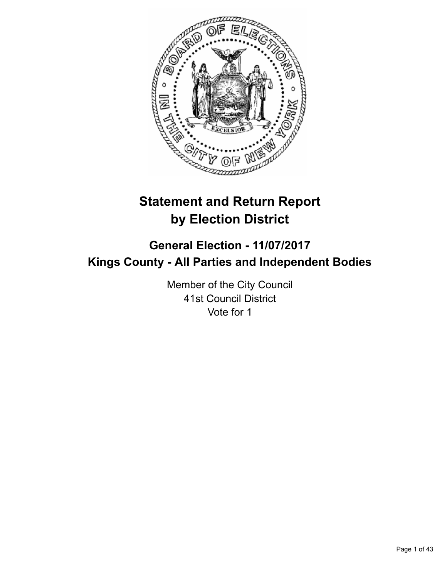

# **Statement and Return Report by Election District**

# **General Election - 11/07/2017 Kings County - All Parties and Independent Bodies**

Member of the City Council 41st Council District Vote for 1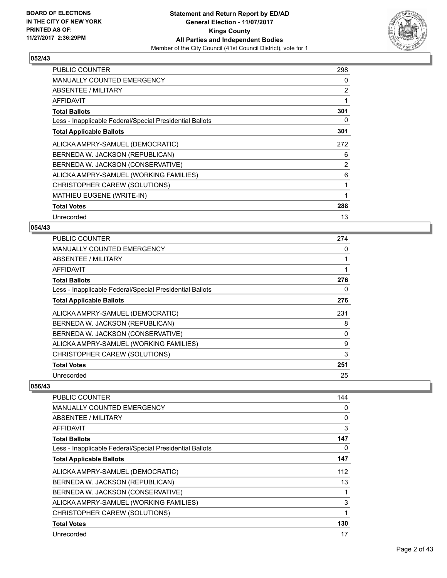

| <b>PUBLIC COUNTER</b>                                    | 298            |
|----------------------------------------------------------|----------------|
| <b>MANUALLY COUNTED EMERGENCY</b>                        | 0              |
| ABSENTEE / MILITARY                                      | $\overline{2}$ |
| <b>AFFIDAVIT</b>                                         | 1              |
| <b>Total Ballots</b>                                     | 301            |
| Less - Inapplicable Federal/Special Presidential Ballots | 0              |
| <b>Total Applicable Ballots</b>                          | 301            |
| ALICKA AMPRY-SAMUEL (DEMOCRATIC)                         | 272            |
| BERNEDA W. JACKSON (REPUBLICAN)                          | 6              |
| BERNEDA W. JACKSON (CONSERVATIVE)                        | $\overline{2}$ |
| ALICKA AMPRY-SAMUEL (WORKING FAMILIES)                   | 6              |
| CHRISTOPHER CAREW (SOLUTIONS)                            | 1              |
| MATHIEU EUGENE (WRITE-IN)                                | 1              |
| <b>Total Votes</b>                                       | 288            |
| Unrecorded                                               | 13             |

## **054/43**

| <b>PUBLIC COUNTER</b>                                    | 274 |
|----------------------------------------------------------|-----|
| <b>MANUALLY COUNTED EMERGENCY</b>                        | 0   |
| ABSENTEE / MILITARY                                      |     |
| AFFIDAVIT                                                |     |
| <b>Total Ballots</b>                                     | 276 |
| Less - Inapplicable Federal/Special Presidential Ballots | 0   |
| <b>Total Applicable Ballots</b>                          | 276 |
| ALICKA AMPRY-SAMUEL (DEMOCRATIC)                         | 231 |
| BERNEDA W. JACKSON (REPUBLICAN)                          | 8   |
| BERNEDA W. JACKSON (CONSERVATIVE)                        | 0   |
| ALICKA AMPRY-SAMUEL (WORKING FAMILIES)                   | 9   |
| CHRISTOPHER CAREW (SOLUTIONS)                            | 3   |
| <b>Total Votes</b>                                       | 251 |
| Unrecorded                                               | 25  |

| PUBLIC COUNTER                                           | 144 |
|----------------------------------------------------------|-----|
| <b>MANUALLY COUNTED EMERGENCY</b>                        | 0   |
| ABSENTEE / MILITARY                                      | 0   |
| AFFIDAVIT                                                | 3   |
| <b>Total Ballots</b>                                     | 147 |
| Less - Inapplicable Federal/Special Presidential Ballots | 0   |
| <b>Total Applicable Ballots</b>                          | 147 |
| ALICKA AMPRY-SAMUEL (DEMOCRATIC)                         | 112 |
| BERNEDA W. JACKSON (REPUBLICAN)                          | 13  |
| BERNEDA W. JACKSON (CONSERVATIVE)                        | 1   |
| ALICKA AMPRY-SAMUEL (WORKING FAMILIES)                   | 3   |
| CHRISTOPHER CAREW (SOLUTIONS)                            | 1   |
| <b>Total Votes</b>                                       | 130 |
| Unrecorded                                               | 17  |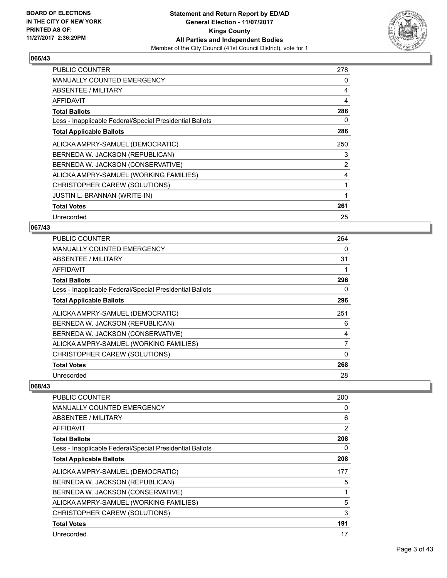

| <b>PUBLIC COUNTER</b>                                    | 278            |
|----------------------------------------------------------|----------------|
| MANUALLY COUNTED EMERGENCY                               | 0              |
| ABSENTEE / MILITARY                                      | 4              |
| AFFIDAVIT                                                | 4              |
| <b>Total Ballots</b>                                     | 286            |
| Less - Inapplicable Federal/Special Presidential Ballots | 0              |
| <b>Total Applicable Ballots</b>                          | 286            |
| ALICKA AMPRY-SAMUEL (DEMOCRATIC)                         | 250            |
| BERNEDA W. JACKSON (REPUBLICAN)                          | 3              |
| BERNEDA W. JACKSON (CONSERVATIVE)                        | $\overline{2}$ |
| ALICKA AMPRY-SAMUEL (WORKING FAMILIES)                   | 4              |
| CHRISTOPHER CAREW (SOLUTIONS)                            |                |
| <b>JUSTIN L. BRANNAN (WRITE-IN)</b>                      | 1              |
| <b>Total Votes</b>                                       | 261            |
| Unrecorded                                               | 25             |

# **067/43**

| <b>PUBLIC COUNTER</b>                                    | 264 |
|----------------------------------------------------------|-----|
| <b>MANUALLY COUNTED EMERGENCY</b>                        | 0   |
| ABSENTEE / MILITARY                                      | 31  |
| AFFIDAVIT                                                |     |
| <b>Total Ballots</b>                                     | 296 |
| Less - Inapplicable Federal/Special Presidential Ballots | 0   |
| <b>Total Applicable Ballots</b>                          | 296 |
| ALICKA AMPRY-SAMUEL (DEMOCRATIC)                         | 251 |
| BERNEDA W. JACKSON (REPUBLICAN)                          | 6   |
| BERNEDA W. JACKSON (CONSERVATIVE)                        | 4   |
| ALICKA AMPRY-SAMUEL (WORKING FAMILIES)                   | 7   |
| CHRISTOPHER CAREW (SOLUTIONS)                            | 0   |
| <b>Total Votes</b>                                       | 268 |
| Unrecorded                                               | 28  |

| <b>PUBLIC COUNTER</b>                                    | 200            |
|----------------------------------------------------------|----------------|
| <b>MANUALLY COUNTED EMERGENCY</b>                        | 0              |
| ABSENTEE / MILITARY                                      | 6              |
| AFFIDAVIT                                                | $\overline{2}$ |
| <b>Total Ballots</b>                                     | 208            |
| Less - Inapplicable Federal/Special Presidential Ballots | 0              |
| <b>Total Applicable Ballots</b>                          | 208            |
| ALICKA AMPRY-SAMUEL (DEMOCRATIC)                         | 177            |
| BERNEDA W. JACKSON (REPUBLICAN)                          | 5              |
| BERNEDA W. JACKSON (CONSERVATIVE)                        | 1              |
| ALICKA AMPRY-SAMUEL (WORKING FAMILIES)                   | 5              |
| CHRISTOPHER CAREW (SOLUTIONS)                            | 3              |
| <b>Total Votes</b>                                       | 191            |
| Unrecorded                                               | 17             |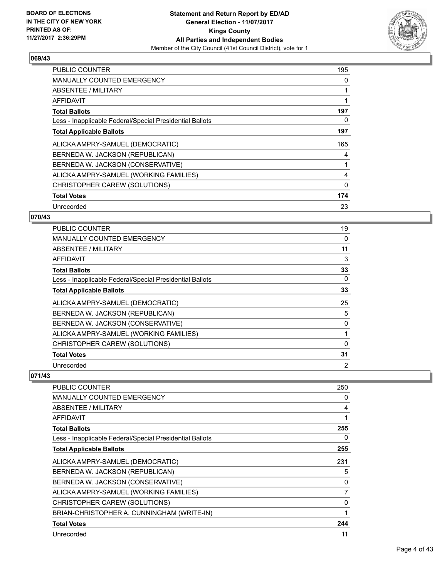

| <b>PUBLIC COUNTER</b>                                    | 195 |
|----------------------------------------------------------|-----|
| <b>MANUALLY COUNTED EMERGENCY</b>                        | 0   |
| ABSENTEE / MILITARY                                      |     |
| AFFIDAVIT                                                | 1   |
| <b>Total Ballots</b>                                     | 197 |
| Less - Inapplicable Federal/Special Presidential Ballots | 0   |
| <b>Total Applicable Ballots</b>                          | 197 |
| ALICKA AMPRY-SAMUEL (DEMOCRATIC)                         | 165 |
| BERNEDA W. JACKSON (REPUBLICAN)                          | 4   |
| BERNEDA W. JACKSON (CONSERVATIVE)                        |     |
| ALICKA AMPRY-SAMUEL (WORKING FAMILIES)                   | 4   |
| CHRISTOPHER CAREW (SOLUTIONS)                            | 0   |
| <b>Total Votes</b>                                       | 174 |
| Unrecorded                                               | 23  |

## **070/43**

| <b>PUBLIC COUNTER</b>                                    | 19 |
|----------------------------------------------------------|----|
| <b>MANUALLY COUNTED EMERGENCY</b>                        | 0  |
| ABSENTEE / MILITARY                                      | 11 |
| AFFIDAVIT                                                | 3  |
| <b>Total Ballots</b>                                     | 33 |
| Less - Inapplicable Federal/Special Presidential Ballots | 0  |
| <b>Total Applicable Ballots</b>                          | 33 |
| ALICKA AMPRY-SAMUEL (DEMOCRATIC)                         | 25 |
| BERNEDA W. JACKSON (REPUBLICAN)                          | 5  |
| BERNEDA W. JACKSON (CONSERVATIVE)                        | 0  |
| ALICKA AMPRY-SAMUEL (WORKING FAMILIES)                   |    |
| CHRISTOPHER CAREW (SOLUTIONS)                            | 0  |
| <b>Total Votes</b>                                       | 31 |
| Unrecorded                                               | 2  |

| PUBLIC COUNTER                                           | 250            |
|----------------------------------------------------------|----------------|
| <b>MANUALLY COUNTED EMERGENCY</b>                        | 0              |
| ABSENTEE / MILITARY                                      | 4              |
| <b>AFFIDAVIT</b>                                         | 1              |
| <b>Total Ballots</b>                                     | 255            |
| Less - Inapplicable Federal/Special Presidential Ballots | 0              |
| <b>Total Applicable Ballots</b>                          | 255            |
| ALICKA AMPRY-SAMUEL (DEMOCRATIC)                         | 231            |
| BERNEDA W. JACKSON (REPUBLICAN)                          | 5              |
| BERNEDA W. JACKSON (CONSERVATIVE)                        | $\Omega$       |
| ALICKA AMPRY-SAMUEL (WORKING FAMILIES)                   | $\overline{7}$ |
| CHRISTOPHER CAREW (SOLUTIONS)                            | $\Omega$       |
| BRIAN-CHRISTOPHER A. CUNNINGHAM (WRITE-IN)               |                |
| <b>Total Votes</b>                                       | 244            |
| Unrecorded                                               | 11             |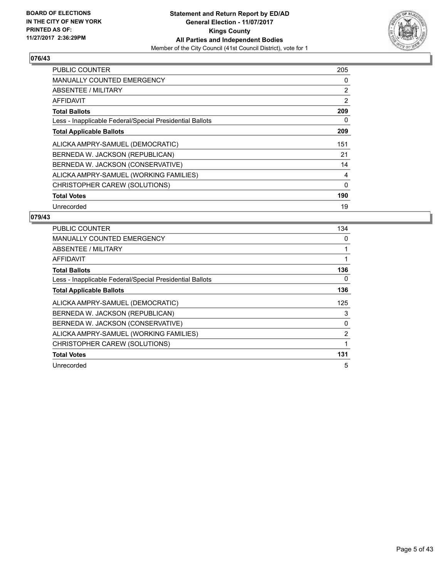

| <b>PUBLIC COUNTER</b>                                    | 205            |
|----------------------------------------------------------|----------------|
| <b>MANUALLY COUNTED EMERGENCY</b>                        | 0              |
| ABSENTEE / MILITARY                                      | $\overline{2}$ |
| AFFIDAVIT                                                | 2              |
| <b>Total Ballots</b>                                     | 209            |
| Less - Inapplicable Federal/Special Presidential Ballots | 0              |
| <b>Total Applicable Ballots</b>                          | 209            |
| ALICKA AMPRY-SAMUEL (DEMOCRATIC)                         | 151            |
| BERNEDA W. JACKSON (REPUBLICAN)                          | 21             |
| BERNEDA W. JACKSON (CONSERVATIVE)                        | 14             |
| ALICKA AMPRY-SAMUEL (WORKING FAMILIES)                   | 4              |
| CHRISTOPHER CAREW (SOLUTIONS)                            | $\Omega$       |
| <b>Total Votes</b>                                       | 190            |
| Unrecorded                                               | 19             |

| <b>PUBLIC COUNTER</b>                                    | 134            |
|----------------------------------------------------------|----------------|
| <b>MANUALLY COUNTED EMERGENCY</b>                        | 0              |
| <b>ABSENTEE / MILITARY</b>                               |                |
| AFFIDAVIT                                                |                |
| <b>Total Ballots</b>                                     | 136            |
| Less - Inapplicable Federal/Special Presidential Ballots | 0              |
| <b>Total Applicable Ballots</b>                          | 136            |
| ALICKA AMPRY-SAMUEL (DEMOCRATIC)                         | 125            |
| BERNEDA W. JACKSON (REPUBLICAN)                          | 3              |
| BERNEDA W. JACKSON (CONSERVATIVE)                        | $\Omega$       |
| ALICKA AMPRY-SAMUEL (WORKING FAMILIES)                   | $\overline{2}$ |
| CHRISTOPHER CAREW (SOLUTIONS)                            |                |
| <b>Total Votes</b>                                       | 131            |
| Unrecorded                                               | 5              |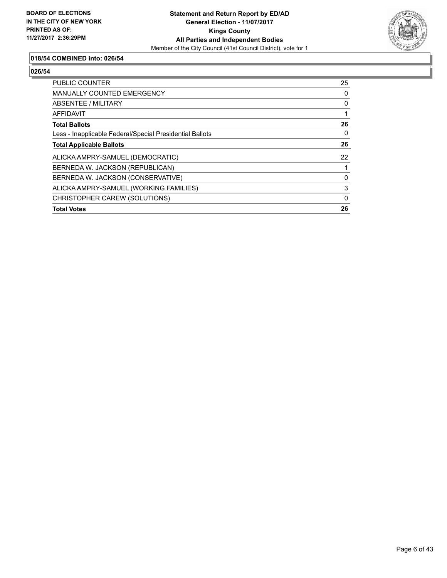

## **018/54 COMBINED into: 026/54**

| CHRISTOPHER CAREW (SOLUTIONS)                            | 0  |
|----------------------------------------------------------|----|
| ALICKA AMPRY-SAMUEL (WORKING FAMILIES)                   | 3  |
| BERNEDA W. JACKSON (CONSERVATIVE)                        | 0  |
| BERNEDA W. JACKSON (REPUBLICAN)                          |    |
| ALICKA AMPRY-SAMUEL (DEMOCRATIC)                         | 22 |
| <b>Total Applicable Ballots</b>                          | 26 |
| Less - Inapplicable Federal/Special Presidential Ballots | 0  |
| <b>Total Ballots</b>                                     | 26 |
| AFFIDAVIT                                                |    |
| ABSENTEE / MILITARY                                      | 0  |
| <b>MANUALLY COUNTED EMERGENCY</b>                        | 0  |
| <b>PUBLIC COUNTER</b>                                    | 25 |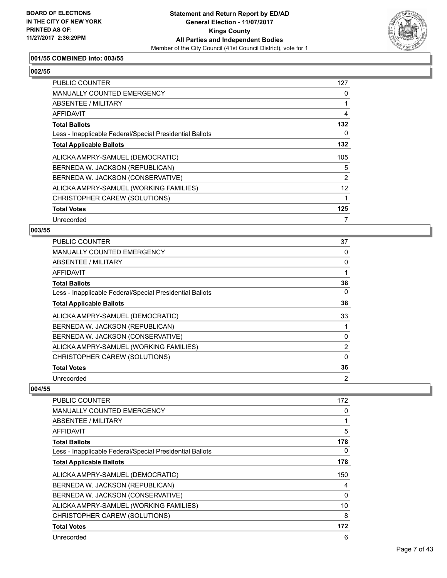

## **001/55 COMBINED into: 003/55**

# **002/55**

| <b>PUBLIC COUNTER</b>                                    | 127            |
|----------------------------------------------------------|----------------|
| <b>MANUALLY COUNTED EMERGENCY</b>                        | 0              |
| ABSENTEE / MILITARY                                      |                |
| AFFIDAVIT                                                | $\overline{4}$ |
| <b>Total Ballots</b>                                     | 132            |
| Less - Inapplicable Federal/Special Presidential Ballots | 0              |
| <b>Total Applicable Ballots</b>                          | 132            |
| ALICKA AMPRY-SAMUEL (DEMOCRATIC)                         | 105            |
| BERNEDA W. JACKSON (REPUBLICAN)                          | 5              |
| BERNEDA W. JACKSON (CONSERVATIVE)                        | 2              |
| ALICKA AMPRY-SAMUEL (WORKING FAMILIES)                   | 12             |
| CHRISTOPHER CAREW (SOLUTIONS)                            |                |
| <b>Total Votes</b>                                       | 125            |
| Unrecorded                                               |                |

#### **003/55**

| <b>PUBLIC COUNTER</b>                                    | 37             |
|----------------------------------------------------------|----------------|
| <b>MANUALLY COUNTED EMERGENCY</b>                        | 0              |
| ABSENTEE / MILITARY                                      | 0              |
| AFFIDAVIT                                                |                |
| <b>Total Ballots</b>                                     | 38             |
| Less - Inapplicable Federal/Special Presidential Ballots | 0              |
| <b>Total Applicable Ballots</b>                          | 38             |
| ALICKA AMPRY-SAMUEL (DEMOCRATIC)                         | 33             |
| BERNEDA W. JACKSON (REPUBLICAN)                          |                |
| BERNEDA W. JACKSON (CONSERVATIVE)                        | 0              |
| ALICKA AMPRY-SAMUEL (WORKING FAMILIES)                   | $\overline{2}$ |
| CHRISTOPHER CAREW (SOLUTIONS)                            | 0              |
| <b>Total Votes</b>                                       | 36             |
| Unrecorded                                               | 2              |

| <b>PUBLIC COUNTER</b>                                    | 172 |
|----------------------------------------------------------|-----|
| MANUALLY COUNTED EMERGENCY                               | 0   |
| ABSENTEE / MILITARY                                      | 1   |
| AFFIDAVIT                                                | 5   |
| <b>Total Ballots</b>                                     | 178 |
| Less - Inapplicable Federal/Special Presidential Ballots | 0   |
| <b>Total Applicable Ballots</b>                          | 178 |
| ALICKA AMPRY-SAMUEL (DEMOCRATIC)                         | 150 |
| BERNEDA W. JACKSON (REPUBLICAN)                          | 4   |
| BERNEDA W. JACKSON (CONSERVATIVE)                        | 0   |
| ALICKA AMPRY-SAMUEL (WORKING FAMILIES)                   | 10  |
| CHRISTOPHER CAREW (SOLUTIONS)                            | 8   |
| <b>Total Votes</b>                                       | 172 |
| Unrecorded                                               | 6   |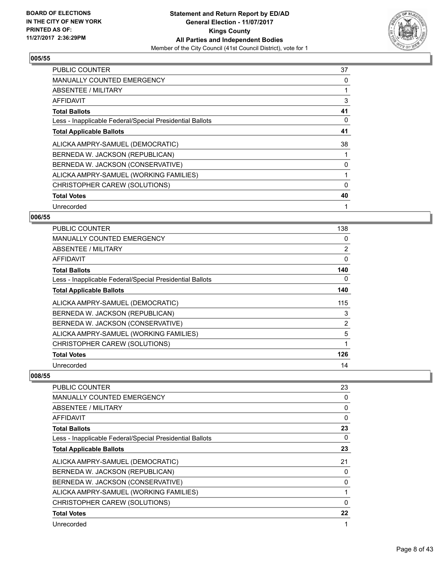

| <b>PUBLIC COUNTER</b>                                    | 37 |
|----------------------------------------------------------|----|
| <b>MANUALLY COUNTED EMERGENCY</b>                        | 0  |
| <b>ABSENTEE / MILITARY</b>                               |    |
| AFFIDAVIT                                                | 3  |
| <b>Total Ballots</b>                                     | 41 |
| Less - Inapplicable Federal/Special Presidential Ballots | 0  |
| <b>Total Applicable Ballots</b>                          | 41 |
| ALICKA AMPRY-SAMUEL (DEMOCRATIC)                         | 38 |
| BERNEDA W. JACKSON (REPUBLICAN)                          |    |
| BERNEDA W. JACKSON (CONSERVATIVE)                        | 0  |
| ALICKA AMPRY-SAMUEL (WORKING FAMILIES)                   | 1  |
| CHRISTOPHER CAREW (SOLUTIONS)                            | 0  |
| <b>Total Votes</b>                                       | 40 |
| Unrecorded                                               | 1  |

## **006/55**

| PUBLIC COUNTER                                           | 138          |
|----------------------------------------------------------|--------------|
| <b>MANUALLY COUNTED EMERGENCY</b>                        | 0            |
| ABSENTEE / MILITARY                                      | 2            |
| <b>AFFIDAVIT</b>                                         | 0            |
| <b>Total Ballots</b>                                     | 140          |
| Less - Inapplicable Federal/Special Presidential Ballots | 0            |
| <b>Total Applicable Ballots</b>                          | 140          |
| ALICKA AMPRY-SAMUEL (DEMOCRATIC)                         | 115          |
| BERNEDA W. JACKSON (REPUBLICAN)                          | 3            |
| BERNEDA W. JACKSON (CONSERVATIVE)                        | 2            |
| ALICKA AMPRY-SAMUEL (WORKING FAMILIES)                   | 5            |
| CHRISTOPHER CAREW (SOLUTIONS)                            | $\mathbf{1}$ |
| <b>Total Votes</b>                                       | 126          |
| Unrecorded                                               | 14           |

| PUBLIC COUNTER                                           | 23       |
|----------------------------------------------------------|----------|
| <b>MANUALLY COUNTED EMERGENCY</b>                        | 0        |
| <b>ABSENTEE / MILITARY</b>                               | 0        |
| AFFIDAVIT                                                | 0        |
| <b>Total Ballots</b>                                     | 23       |
| Less - Inapplicable Federal/Special Presidential Ballots | 0        |
| <b>Total Applicable Ballots</b>                          | 23       |
| ALICKA AMPRY-SAMUEL (DEMOCRATIC)                         | 21       |
| BERNEDA W. JACKSON (REPUBLICAN)                          | 0        |
| BERNEDA W. JACKSON (CONSERVATIVE)                        | 0        |
| ALICKA AMPRY-SAMUEL (WORKING FAMILIES)                   |          |
| CHRISTOPHER CAREW (SOLUTIONS)                            | $\Omega$ |
| <b>Total Votes</b>                                       | 22       |
| Unrecorded                                               |          |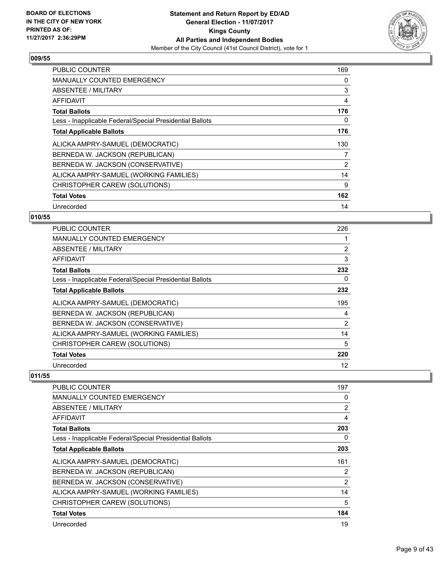

| <b>PUBLIC COUNTER</b>                                    | 169 |
|----------------------------------------------------------|-----|
| <b>MANUALLY COUNTED EMERGENCY</b>                        | 0   |
| ABSENTEE / MILITARY                                      | 3   |
| AFFIDAVIT                                                | 4   |
| <b>Total Ballots</b>                                     | 176 |
| Less - Inapplicable Federal/Special Presidential Ballots | 0   |
| <b>Total Applicable Ballots</b>                          | 176 |
| ALICKA AMPRY-SAMUEL (DEMOCRATIC)                         | 130 |
| BERNEDA W. JACKSON (REPUBLICAN)                          | 7   |
| BERNEDA W. JACKSON (CONSERVATIVE)                        | 2   |
| ALICKA AMPRY-SAMUEL (WORKING FAMILIES)                   | 14  |
| CHRISTOPHER CAREW (SOLUTIONS)                            | 9   |
| <b>Total Votes</b>                                       | 162 |
| Unrecorded                                               | 14  |

## **010/55**

| <b>PUBLIC COUNTER</b>                                    | 226            |
|----------------------------------------------------------|----------------|
| <b>MANUALLY COUNTED EMERGENCY</b>                        |                |
| ABSENTEE / MILITARY                                      | $\overline{2}$ |
| AFFIDAVIT                                                | 3              |
| <b>Total Ballots</b>                                     | 232            |
| Less - Inapplicable Federal/Special Presidential Ballots | 0              |
| <b>Total Applicable Ballots</b>                          | 232            |
| ALICKA AMPRY-SAMUEL (DEMOCRATIC)                         | 195            |
| BERNEDA W. JACKSON (REPUBLICAN)                          | 4              |
| BERNEDA W. JACKSON (CONSERVATIVE)                        | 2              |
| ALICKA AMPRY-SAMUEL (WORKING FAMILIES)                   | 14             |
| CHRISTOPHER CAREW (SOLUTIONS)                            | 5              |
| <b>Total Votes</b>                                       | 220            |
| Unrecorded                                               | 12             |

| <b>PUBLIC COUNTER</b>                                    | 197 |
|----------------------------------------------------------|-----|
| MANUALLY COUNTED EMERGENCY                               | 0   |
| <b>ABSENTEE / MILITARY</b>                               | 2   |
| <b>AFFIDAVIT</b>                                         | 4   |
| <b>Total Ballots</b>                                     | 203 |
| Less - Inapplicable Federal/Special Presidential Ballots | 0   |
| <b>Total Applicable Ballots</b>                          | 203 |
| ALICKA AMPRY-SAMUEL (DEMOCRATIC)                         | 161 |
| BERNEDA W. JACKSON (REPUBLICAN)                          | 2   |
| BERNEDA W. JACKSON (CONSERVATIVE)                        | 2   |
| ALICKA AMPRY-SAMUEL (WORKING FAMILIES)                   | 14  |
| CHRISTOPHER CAREW (SOLUTIONS)                            | 5   |
| <b>Total Votes</b>                                       | 184 |
| Unrecorded                                               | 19  |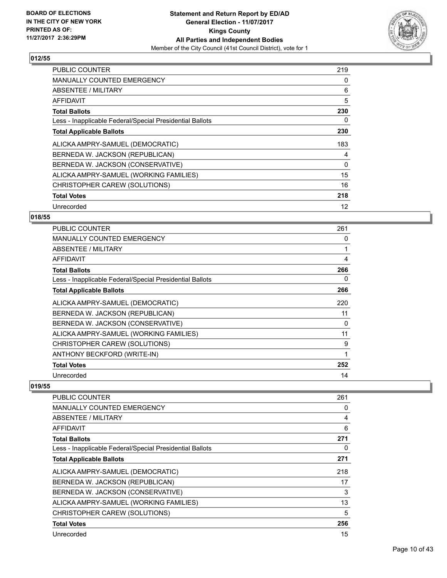

| <b>PUBLIC COUNTER</b>                                    | 219 |
|----------------------------------------------------------|-----|
| <b>MANUALLY COUNTED EMERGENCY</b>                        | 0   |
| ABSENTEE / MILITARY                                      | 6   |
| AFFIDAVIT                                                | 5   |
| <b>Total Ballots</b>                                     | 230 |
| Less - Inapplicable Federal/Special Presidential Ballots | 0   |
| <b>Total Applicable Ballots</b>                          | 230 |
| ALICKA AMPRY-SAMUEL (DEMOCRATIC)                         | 183 |
| BERNEDA W. JACKSON (REPUBLICAN)                          | 4   |
| BERNEDA W. JACKSON (CONSERVATIVE)                        | 0   |
| ALICKA AMPRY-SAMUEL (WORKING FAMILIES)                   | 15  |
| CHRISTOPHER CAREW (SOLUTIONS)                            | 16  |
| <b>Total Votes</b>                                       | 218 |
| Unrecorded                                               | 12  |

## **018/55**

| <b>PUBLIC COUNTER</b>                                    | 261 |
|----------------------------------------------------------|-----|
| <b>MANUALLY COUNTED EMERGENCY</b>                        | 0   |
| ABSENTEE / MILITARY                                      | 1   |
| AFFIDAVIT                                                | 4   |
| <b>Total Ballots</b>                                     | 266 |
| Less - Inapplicable Federal/Special Presidential Ballots | 0   |
| <b>Total Applicable Ballots</b>                          | 266 |
| ALICKA AMPRY-SAMUEL (DEMOCRATIC)                         | 220 |
| BERNEDA W. JACKSON (REPUBLICAN)                          | 11  |
| BERNEDA W. JACKSON (CONSERVATIVE)                        | 0   |
| ALICKA AMPRY-SAMUEL (WORKING FAMILIES)                   | 11  |
| CHRISTOPHER CAREW (SOLUTIONS)                            | 9   |
| ANTHONY BECKFORD (WRITE-IN)                              | 1   |
| <b>Total Votes</b>                                       | 252 |
| Unrecorded                                               | 14  |

| PUBLIC COUNTER                                           | 261 |
|----------------------------------------------------------|-----|
| MANUALLY COUNTED EMERGENCY                               | 0   |
| ABSENTEE / MILITARY                                      | 4   |
| AFFIDAVIT                                                | 6   |
| <b>Total Ballots</b>                                     | 271 |
| Less - Inapplicable Federal/Special Presidential Ballots | 0   |
| <b>Total Applicable Ballots</b>                          | 271 |
| ALICKA AMPRY-SAMUEL (DEMOCRATIC)                         | 218 |
| BERNEDA W. JACKSON (REPUBLICAN)                          | 17  |
| BERNEDA W. JACKSON (CONSERVATIVE)                        | 3   |
| ALICKA AMPRY-SAMUEL (WORKING FAMILIES)                   | 13  |
| CHRISTOPHER CAREW (SOLUTIONS)                            | 5   |
| <b>Total Votes</b>                                       | 256 |
| Unrecorded                                               | 15  |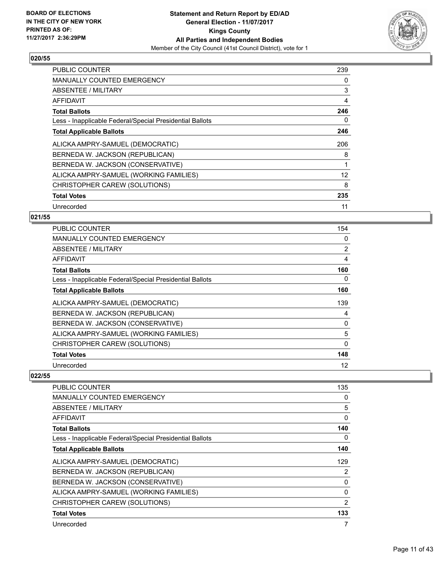

| <b>PUBLIC COUNTER</b>                                    | 239 |
|----------------------------------------------------------|-----|
| <b>MANUALLY COUNTED EMERGENCY</b>                        | 0   |
| <b>ABSENTEE / MILITARY</b>                               | 3   |
| AFFIDAVIT                                                | 4   |
| <b>Total Ballots</b>                                     | 246 |
| Less - Inapplicable Federal/Special Presidential Ballots | 0   |
| <b>Total Applicable Ballots</b>                          | 246 |
| ALICKA AMPRY-SAMUEL (DEMOCRATIC)                         | 206 |
| BERNEDA W. JACKSON (REPUBLICAN)                          | 8   |
| BERNEDA W. JACKSON (CONSERVATIVE)                        |     |
| ALICKA AMPRY-SAMUEL (WORKING FAMILIES)                   | 12  |
| CHRISTOPHER CAREW (SOLUTIONS)                            | 8   |
| <b>Total Votes</b>                                       | 235 |
| Unrecorded                                               | 11  |

## **021/55**

| <b>PUBLIC COUNTER</b>                                    | 154            |
|----------------------------------------------------------|----------------|
| <b>MANUALLY COUNTED EMERGENCY</b>                        | 0              |
| ABSENTEE / MILITARY                                      | $\overline{2}$ |
| AFFIDAVIT                                                | 4              |
| <b>Total Ballots</b>                                     | 160            |
| Less - Inapplicable Federal/Special Presidential Ballots | 0              |
| <b>Total Applicable Ballots</b>                          | 160            |
| ALICKA AMPRY-SAMUEL (DEMOCRATIC)                         | 139            |
| BERNEDA W. JACKSON (REPUBLICAN)                          | 4              |
| BERNEDA W. JACKSON (CONSERVATIVE)                        | 0              |
| ALICKA AMPRY-SAMUEL (WORKING FAMILIES)                   | 5              |
| CHRISTOPHER CAREW (SOLUTIONS)                            | 0              |
| <b>Total Votes</b>                                       | 148            |
| Unrecorded                                               | 12             |

| PUBLIC COUNTER                                           | 135            |
|----------------------------------------------------------|----------------|
| <b>MANUALLY COUNTED EMERGENCY</b>                        | 0              |
| <b>ABSENTEE / MILITARY</b>                               | 5              |
| AFFIDAVIT                                                | 0              |
| <b>Total Ballots</b>                                     | 140            |
| Less - Inapplicable Federal/Special Presidential Ballots | 0              |
| <b>Total Applicable Ballots</b>                          | 140            |
| ALICKA AMPRY-SAMUEL (DEMOCRATIC)                         | 129            |
| BERNEDA W. JACKSON (REPUBLICAN)                          | 2              |
| BERNEDA W. JACKSON (CONSERVATIVE)                        | 0              |
| ALICKA AMPRY-SAMUEL (WORKING FAMILIES)                   | $\Omega$       |
| CHRISTOPHER CAREW (SOLUTIONS)                            | $\overline{2}$ |
| <b>Total Votes</b>                                       | 133            |
| Unrecorded                                               | 7              |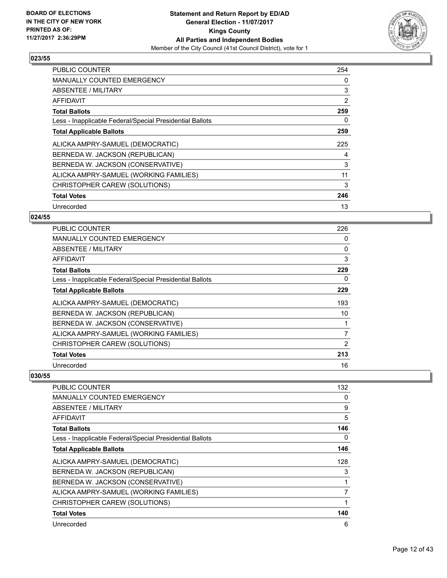

| <b>PUBLIC COUNTER</b>                                    | 254 |
|----------------------------------------------------------|-----|
| <b>MANUALLY COUNTED EMERGENCY</b>                        | 0   |
| ABSENTEE / MILITARY                                      | 3   |
| AFFIDAVIT                                                | 2   |
| <b>Total Ballots</b>                                     | 259 |
| Less - Inapplicable Federal/Special Presidential Ballots | 0   |
| <b>Total Applicable Ballots</b>                          | 259 |
| ALICKA AMPRY-SAMUEL (DEMOCRATIC)                         | 225 |
| BERNEDA W. JACKSON (REPUBLICAN)                          | 4   |
| BERNEDA W. JACKSON (CONSERVATIVE)                        | 3   |
| ALICKA AMPRY-SAMUEL (WORKING FAMILIES)                   | 11  |
| CHRISTOPHER CAREW (SOLUTIONS)                            | 3   |
| <b>Total Votes</b>                                       | 246 |
| Unrecorded                                               | 13  |

## **024/55**

| PUBLIC COUNTER                                           | 226 |
|----------------------------------------------------------|-----|
| <b>MANUALLY COUNTED EMERGENCY</b>                        | 0   |
| <b>ABSENTEE / MILITARY</b>                               | 0   |
| <b>AFFIDAVIT</b>                                         | 3   |
| <b>Total Ballots</b>                                     | 229 |
| Less - Inapplicable Federal/Special Presidential Ballots | 0   |
| <b>Total Applicable Ballots</b>                          | 229 |
| ALICKA AMPRY-SAMUEL (DEMOCRATIC)                         | 193 |
| BERNEDA W. JACKSON (REPUBLICAN)                          | 10  |
| BERNEDA W. JACKSON (CONSERVATIVE)                        |     |
| ALICKA AMPRY-SAMUEL (WORKING FAMILIES)                   | 7   |
| CHRISTOPHER CAREW (SOLUTIONS)                            | 2   |
| <b>Total Votes</b>                                       | 213 |
| Unrecorded                                               | 16  |

| PUBLIC COUNTER                                           | 132 |
|----------------------------------------------------------|-----|
| <b>MANUALLY COUNTED EMERGENCY</b>                        | 0   |
| <b>ABSENTEE / MILITARY</b>                               | 9   |
| AFFIDAVIT                                                | 5   |
| <b>Total Ballots</b>                                     | 146 |
| Less - Inapplicable Federal/Special Presidential Ballots | 0   |
| <b>Total Applicable Ballots</b>                          | 146 |
| ALICKA AMPRY-SAMUEL (DEMOCRATIC)                         | 128 |
| BERNEDA W. JACKSON (REPUBLICAN)                          | 3   |
| BERNEDA W. JACKSON (CONSERVATIVE)                        |     |
| ALICKA AMPRY-SAMUEL (WORKING FAMILIES)                   | 7   |
| CHRISTOPHER CAREW (SOLUTIONS)                            |     |
| <b>Total Votes</b>                                       | 140 |
| Unrecorded                                               | 6   |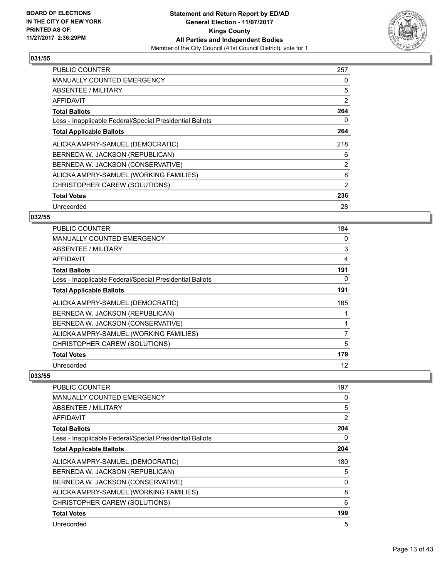

| <b>PUBLIC COUNTER</b>                                    | 257 |
|----------------------------------------------------------|-----|
| <b>MANUALLY COUNTED EMERGENCY</b>                        | 0   |
| ABSENTEE / MILITARY                                      | 5   |
| AFFIDAVIT                                                | 2   |
| <b>Total Ballots</b>                                     | 264 |
| Less - Inapplicable Federal/Special Presidential Ballots | 0   |
| <b>Total Applicable Ballots</b>                          | 264 |
| ALICKA AMPRY-SAMUEL (DEMOCRATIC)                         | 218 |
| BERNEDA W. JACKSON (REPUBLICAN)                          | 6   |
| BERNEDA W. JACKSON (CONSERVATIVE)                        | 2   |
| ALICKA AMPRY-SAMUEL (WORKING FAMILIES)                   | 8   |
| CHRISTOPHER CAREW (SOLUTIONS)                            | 2   |
| <b>Total Votes</b>                                       | 236 |
| Unrecorded                                               | 28  |

## **032/55**

| PUBLIC COUNTER                                           | 184            |
|----------------------------------------------------------|----------------|
| <b>MANUALLY COUNTED EMERGENCY</b>                        | 0              |
| ABSENTEE / MILITARY                                      | 3              |
| AFFIDAVIT                                                | 4              |
| <b>Total Ballots</b>                                     | 191            |
| Less - Inapplicable Federal/Special Presidential Ballots | 0              |
| <b>Total Applicable Ballots</b>                          | 191            |
| ALICKA AMPRY-SAMUEL (DEMOCRATIC)                         | 165            |
| BERNEDA W. JACKSON (REPUBLICAN)                          |                |
| BERNEDA W. JACKSON (CONSERVATIVE)                        |                |
| ALICKA AMPRY-SAMUEL (WORKING FAMILIES)                   | $\overline{7}$ |
| CHRISTOPHER CAREW (SOLUTIONS)                            | 5              |
| <b>Total Votes</b>                                       | 179            |
| Unrecorded                                               | 12             |

| PUBLIC COUNTER                                           | 197 |
|----------------------------------------------------------|-----|
| <b>MANUALLY COUNTED EMERGENCY</b>                        | 0   |
| <b>ABSENTEE / MILITARY</b>                               | 5   |
| AFFIDAVIT                                                | 2   |
| <b>Total Ballots</b>                                     | 204 |
| Less - Inapplicable Federal/Special Presidential Ballots | 0   |
| <b>Total Applicable Ballots</b>                          | 204 |
| ALICKA AMPRY-SAMUEL (DEMOCRATIC)                         | 180 |
| BERNEDA W. JACKSON (REPUBLICAN)                          | 5   |
| BERNEDA W. JACKSON (CONSERVATIVE)                        | 0   |
| ALICKA AMPRY-SAMUEL (WORKING FAMILIES)                   | 8   |
| CHRISTOPHER CAREW (SOLUTIONS)                            | 6   |
| <b>Total Votes</b>                                       | 199 |
| Unrecorded                                               | 5   |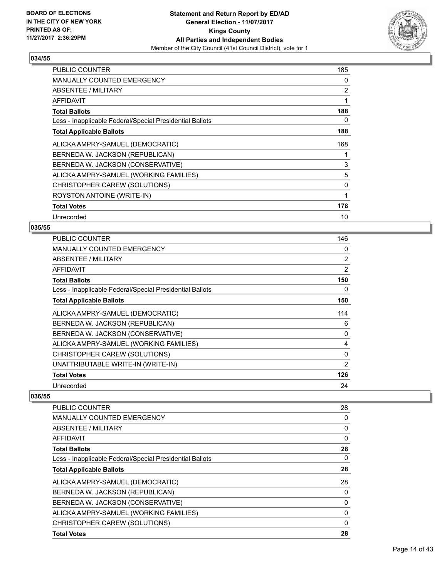

| <b>PUBLIC COUNTER</b>                                    | 185 |
|----------------------------------------------------------|-----|
| <b>MANUALLY COUNTED EMERGENCY</b>                        | 0   |
| <b>ABSENTEE / MILITARY</b>                               | 2   |
| <b>AFFIDAVIT</b>                                         | 1   |
| <b>Total Ballots</b>                                     | 188 |
| Less - Inapplicable Federal/Special Presidential Ballots | 0   |
| <b>Total Applicable Ballots</b>                          | 188 |
| ALICKA AMPRY-SAMUEL (DEMOCRATIC)                         | 168 |
| BERNEDA W. JACKSON (REPUBLICAN)                          | 1   |
| BERNEDA W. JACKSON (CONSERVATIVE)                        | 3   |
| ALICKA AMPRY-SAMUEL (WORKING FAMILIES)                   | 5   |
| CHRISTOPHER CAREW (SOLUTIONS)                            | 0   |
| ROYSTON ANTOINE (WRITE-IN)                               | 1   |
| <b>Total Votes</b>                                       | 178 |
| Unrecorded                                               | 10  |

#### **035/55**

| <b>PUBLIC COUNTER</b>                                    | 146 |
|----------------------------------------------------------|-----|
| MANUALLY COUNTED EMERGENCY                               | 0   |
| ABSENTEE / MILITARY                                      | 2   |
| AFFIDAVIT                                                | 2   |
| <b>Total Ballots</b>                                     | 150 |
| Less - Inapplicable Federal/Special Presidential Ballots | 0   |
| <b>Total Applicable Ballots</b>                          | 150 |
| ALICKA AMPRY-SAMUEL (DEMOCRATIC)                         | 114 |
| BERNEDA W. JACKSON (REPUBLICAN)                          | 6   |
| BERNEDA W. JACKSON (CONSERVATIVE)                        | 0   |
| ALICKA AMPRY-SAMUEL (WORKING FAMILIES)                   | 4   |
| CHRISTOPHER CAREW (SOLUTIONS)                            | 0   |
| UNATTRIBUTABLE WRITE-IN (WRITE-IN)                       | 2   |
| <b>Total Votes</b>                                       | 126 |
| Unrecorded                                               | 24  |

| <b>PUBLIC COUNTER</b>                                    | 28           |
|----------------------------------------------------------|--------------|
| <b>MANUALLY COUNTED EMERGENCY</b>                        | 0            |
| ABSENTEE / MILITARY                                      | 0            |
| AFFIDAVIT                                                | 0            |
| <b>Total Ballots</b>                                     | 28           |
| Less - Inapplicable Federal/Special Presidential Ballots | 0            |
| <b>Total Applicable Ballots</b>                          | 28           |
| ALICKA AMPRY-SAMUEL (DEMOCRATIC)                         | 28           |
| BERNEDA W. JACKSON (REPUBLICAN)                          | 0            |
| BERNEDA W. JACKSON (CONSERVATIVE)                        | 0            |
| ALICKA AMPRY-SAMUEL (WORKING FAMILIES)                   | 0            |
| CHRISTOPHER CAREW (SOLUTIONS)                            | $\mathbf{0}$ |
| <b>Total Votes</b>                                       | 28           |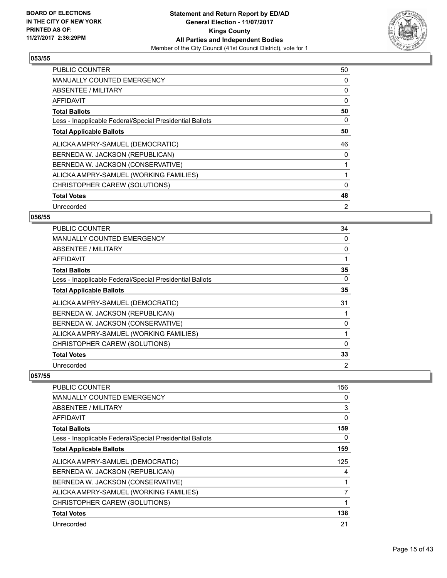

| <b>PUBLIC COUNTER</b>                                    | 50             |
|----------------------------------------------------------|----------------|
| <b>MANUALLY COUNTED EMERGENCY</b>                        | 0              |
| ABSENTEE / MILITARY                                      | 0              |
| AFFIDAVIT                                                | 0              |
| <b>Total Ballots</b>                                     | 50             |
| Less - Inapplicable Federal/Special Presidential Ballots | 0              |
| <b>Total Applicable Ballots</b>                          | 50             |
| ALICKA AMPRY-SAMUEL (DEMOCRATIC)                         | 46             |
| BERNEDA W. JACKSON (REPUBLICAN)                          | 0              |
| BERNEDA W. JACKSON (CONSERVATIVE)                        |                |
| ALICKA AMPRY-SAMUEL (WORKING FAMILIES)                   |                |
| CHRISTOPHER CAREW (SOLUTIONS)                            | 0              |
| <b>Total Votes</b>                                       | 48             |
| Unrecorded                                               | $\overline{2}$ |

## **056/55**

| <b>PUBLIC COUNTER</b>                                    | 34             |
|----------------------------------------------------------|----------------|
| <b>MANUALLY COUNTED EMERGENCY</b>                        | 0              |
| ABSENTEE / MILITARY                                      | 0              |
| AFFIDAVIT                                                |                |
| <b>Total Ballots</b>                                     | 35             |
| Less - Inapplicable Federal/Special Presidential Ballots | 0              |
| <b>Total Applicable Ballots</b>                          | 35             |
| ALICKA AMPRY-SAMUEL (DEMOCRATIC)                         | 31             |
| BERNEDA W. JACKSON (REPUBLICAN)                          |                |
| BERNEDA W. JACKSON (CONSERVATIVE)                        | 0              |
| ALICKA AMPRY-SAMUEL (WORKING FAMILIES)                   |                |
| CHRISTOPHER CAREW (SOLUTIONS)                            | 0              |
| <b>Total Votes</b>                                       | 33             |
| Unrecorded                                               | $\overline{2}$ |

| <b>PUBLIC COUNTER</b>                                    | 156 |
|----------------------------------------------------------|-----|
| <b>MANUALLY COUNTED EMERGENCY</b>                        | 0   |
| ABSENTEE / MILITARY                                      | 3   |
| AFFIDAVIT                                                | 0   |
| <b>Total Ballots</b>                                     | 159 |
| Less - Inapplicable Federal/Special Presidential Ballots | 0   |
| <b>Total Applicable Ballots</b>                          | 159 |
| ALICKA AMPRY-SAMUEL (DEMOCRATIC)                         | 125 |
| BERNEDA W. JACKSON (REPUBLICAN)                          | 4   |
| BERNEDA W. JACKSON (CONSERVATIVE)                        |     |
| ALICKA AMPRY-SAMUEL (WORKING FAMILIES)                   | 7   |
| CHRISTOPHER CAREW (SOLUTIONS)                            | 1   |
| <b>Total Votes</b>                                       | 138 |
| Unrecorded                                               | 21  |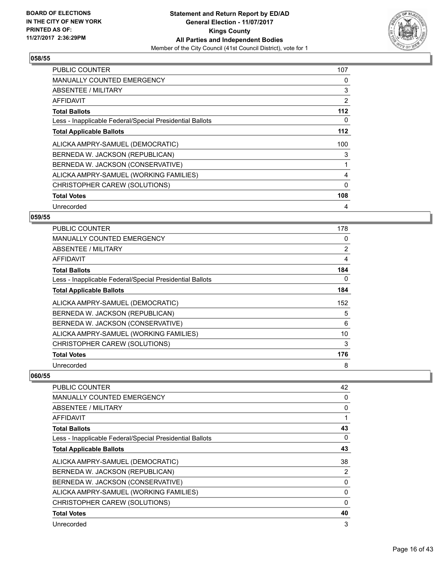

| PUBLIC COUNTER                                           | 107 |
|----------------------------------------------------------|-----|
| <b>MANUALLY COUNTED EMERGENCY</b>                        | 0   |
| <b>ABSENTEE / MILITARY</b>                               | 3   |
| AFFIDAVIT                                                | 2   |
| <b>Total Ballots</b>                                     | 112 |
| Less - Inapplicable Federal/Special Presidential Ballots | 0   |
| <b>Total Applicable Ballots</b>                          | 112 |
| ALICKA AMPRY-SAMUEL (DEMOCRATIC)                         | 100 |
| BERNEDA W. JACKSON (REPUBLICAN)                          | 3   |
| BERNEDA W. JACKSON (CONSERVATIVE)                        | 1   |
| ALICKA AMPRY-SAMUEL (WORKING FAMILIES)                   | 4   |
| CHRISTOPHER CAREW (SOLUTIONS)                            | 0   |
| <b>Total Votes</b>                                       | 108 |
| Unrecorded                                               | 4   |

## **059/55**

| <b>PUBLIC COUNTER</b>                                    | 178 |
|----------------------------------------------------------|-----|
| MANUALLY COUNTED EMERGENCY                               | 0   |
| ABSENTEE / MILITARY                                      | 2   |
| AFFIDAVIT                                                | 4   |
| <b>Total Ballots</b>                                     | 184 |
| Less - Inapplicable Federal/Special Presidential Ballots | 0   |
| <b>Total Applicable Ballots</b>                          | 184 |
| ALICKA AMPRY-SAMUEL (DEMOCRATIC)                         | 152 |
| BERNEDA W. JACKSON (REPUBLICAN)                          | 5   |
| BERNEDA W. JACKSON (CONSERVATIVE)                        | 6   |
| ALICKA AMPRY-SAMUEL (WORKING FAMILIES)                   | 10  |
| CHRISTOPHER CAREW (SOLUTIONS)                            | 3   |
| <b>Total Votes</b>                                       | 176 |
| Unrecorded                                               | 8   |

| <b>PUBLIC COUNTER</b>                                    | 42       |
|----------------------------------------------------------|----------|
| <b>MANUALLY COUNTED EMERGENCY</b>                        | 0        |
| ABSENTEE / MILITARY                                      | 0        |
| AFFIDAVIT                                                |          |
| <b>Total Ballots</b>                                     | 43       |
| Less - Inapplicable Federal/Special Presidential Ballots | 0        |
| <b>Total Applicable Ballots</b>                          | 43       |
| ALICKA AMPRY-SAMUEL (DEMOCRATIC)                         | 38       |
| BERNEDA W. JACKSON (REPUBLICAN)                          | 2        |
| BERNEDA W. JACKSON (CONSERVATIVE)                        | 0        |
| ALICKA AMPRY-SAMUEL (WORKING FAMILIES)                   | 0        |
| CHRISTOPHER CAREW (SOLUTIONS)                            | $\Omega$ |
| <b>Total Votes</b>                                       | 40       |
| Unrecorded                                               | 3        |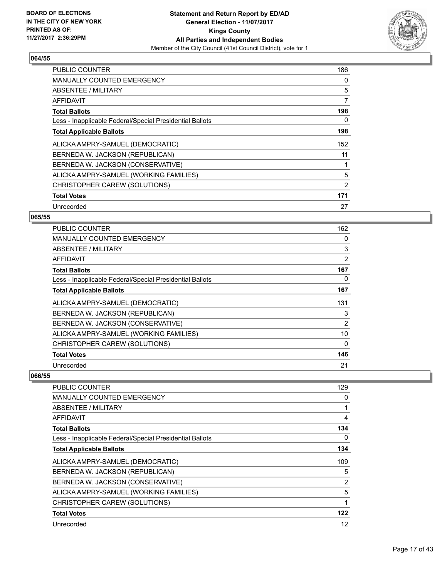

| <b>PUBLIC COUNTER</b>                                    | 186 |
|----------------------------------------------------------|-----|
| <b>MANUALLY COUNTED EMERGENCY</b>                        | 0   |
| <b>ABSENTEE / MILITARY</b>                               | 5   |
| AFFIDAVIT                                                | 7   |
| <b>Total Ballots</b>                                     | 198 |
| Less - Inapplicable Federal/Special Presidential Ballots | 0   |
| <b>Total Applicable Ballots</b>                          | 198 |
| ALICKA AMPRY-SAMUEL (DEMOCRATIC)                         | 152 |
| BERNEDA W. JACKSON (REPUBLICAN)                          | 11  |
| BERNEDA W. JACKSON (CONSERVATIVE)                        |     |
| ALICKA AMPRY-SAMUEL (WORKING FAMILIES)                   | 5   |
| CHRISTOPHER CAREW (SOLUTIONS)                            | 2   |
| <b>Total Votes</b>                                       | 171 |
| Unrecorded                                               | 27  |

## **065/55**

| PUBLIC COUNTER                                           | 162 |
|----------------------------------------------------------|-----|
| <b>MANUALLY COUNTED EMERGENCY</b>                        | 0   |
| ABSENTEE / MILITARY                                      | 3   |
| AFFIDAVIT                                                | 2   |
| <b>Total Ballots</b>                                     | 167 |
| Less - Inapplicable Federal/Special Presidential Ballots | 0   |
| <b>Total Applicable Ballots</b>                          | 167 |
| ALICKA AMPRY-SAMUEL (DEMOCRATIC)                         | 131 |
| BERNEDA W. JACKSON (REPUBLICAN)                          | 3   |
| BERNEDA W. JACKSON (CONSERVATIVE)                        | 2   |
| ALICKA AMPRY-SAMUEL (WORKING FAMILIES)                   | 10  |
| CHRISTOPHER CAREW (SOLUTIONS)                            | 0   |
| <b>Total Votes</b>                                       | 146 |
| Unrecorded                                               | 21  |

| PUBLIC COUNTER                                           | 129 |
|----------------------------------------------------------|-----|
| <b>MANUALLY COUNTED EMERGENCY</b>                        | 0   |
| <b>ABSENTEE / MILITARY</b>                               |     |
| AFFIDAVIT                                                | 4   |
| <b>Total Ballots</b>                                     | 134 |
| Less - Inapplicable Federal/Special Presidential Ballots | 0   |
| <b>Total Applicable Ballots</b>                          | 134 |
| ALICKA AMPRY-SAMUEL (DEMOCRATIC)                         | 109 |
| BERNEDA W. JACKSON (REPUBLICAN)                          | 5   |
| BERNEDA W. JACKSON (CONSERVATIVE)                        | 2   |
| ALICKA AMPRY-SAMUEL (WORKING FAMILIES)                   | 5   |
| CHRISTOPHER CAREW (SOLUTIONS)                            | 1   |
| <b>Total Votes</b>                                       | 122 |
| Unrecorded                                               | 12  |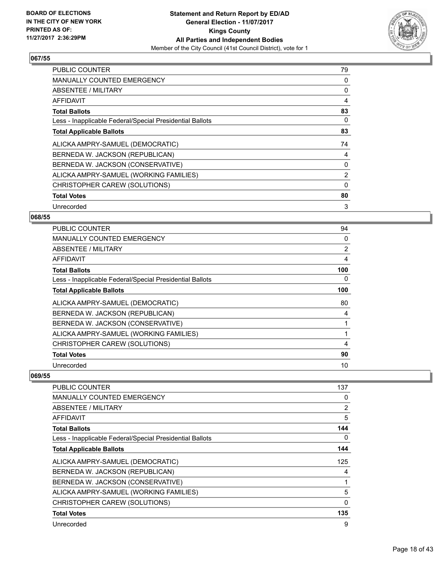

| <b>PUBLIC COUNTER</b>                                    | 79             |
|----------------------------------------------------------|----------------|
| <b>MANUALLY COUNTED EMERGENCY</b>                        | 0              |
| <b>ABSENTEE / MILITARY</b>                               | 0              |
| AFFIDAVIT                                                | 4              |
| <b>Total Ballots</b>                                     | 83             |
| Less - Inapplicable Federal/Special Presidential Ballots | 0              |
| <b>Total Applicable Ballots</b>                          | 83             |
| ALICKA AMPRY-SAMUEL (DEMOCRATIC)                         | 74             |
| BERNEDA W. JACKSON (REPUBLICAN)                          | 4              |
| BERNEDA W. JACKSON (CONSERVATIVE)                        | 0              |
| ALICKA AMPRY-SAMUEL (WORKING FAMILIES)                   | $\overline{2}$ |
| CHRISTOPHER CAREW (SOLUTIONS)                            | $\Omega$       |
| <b>Total Votes</b>                                       | 80             |
| Unrecorded                                               | 3              |

## **068/55**

| <b>PUBLIC COUNTER</b>                                    | 94  |
|----------------------------------------------------------|-----|
| <b>MANUALLY COUNTED EMERGENCY</b>                        | 0   |
| <b>ABSENTEE / MILITARY</b>                               | 2   |
| AFFIDAVIT                                                | 4   |
| <b>Total Ballots</b>                                     | 100 |
| Less - Inapplicable Federal/Special Presidential Ballots | 0   |
| <b>Total Applicable Ballots</b>                          | 100 |
| ALICKA AMPRY-SAMUEL (DEMOCRATIC)                         | 80  |
| BERNEDA W. JACKSON (REPUBLICAN)                          | 4   |
| BERNEDA W. JACKSON (CONSERVATIVE)                        |     |
| ALICKA AMPRY-SAMUEL (WORKING FAMILIES)                   | 1   |
| CHRISTOPHER CAREW (SOLUTIONS)                            | 4   |
| <b>Total Votes</b>                                       | 90  |
| Unrecorded                                               | 10  |

| <b>PUBLIC COUNTER</b>                                    | 137          |
|----------------------------------------------------------|--------------|
| <b>MANUALLY COUNTED EMERGENCY</b>                        | 0            |
| ABSENTEE / MILITARY                                      | 2            |
| AFFIDAVIT                                                | 5            |
| <b>Total Ballots</b>                                     | 144          |
| Less - Inapplicable Federal/Special Presidential Ballots | 0            |
| <b>Total Applicable Ballots</b>                          | 144          |
| ALICKA AMPRY-SAMUEL (DEMOCRATIC)                         | 125          |
| BERNEDA W. JACKSON (REPUBLICAN)                          | 4            |
| BERNEDA W. JACKSON (CONSERVATIVE)                        |              |
| ALICKA AMPRY-SAMUEL (WORKING FAMILIES)                   | 5            |
| CHRISTOPHER CAREW (SOLUTIONS)                            | $\mathbf{0}$ |
| <b>Total Votes</b>                                       | 135          |
| Unrecorded                                               | 9            |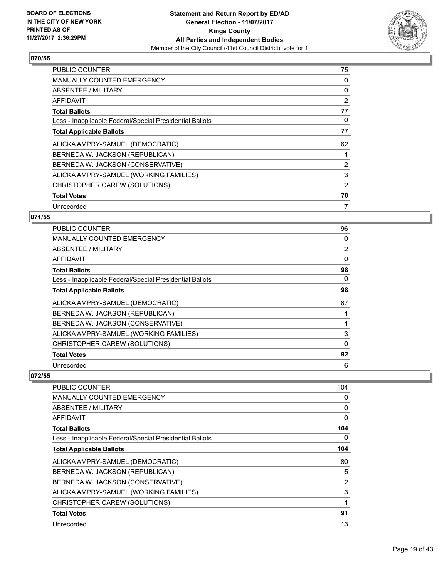

| <b>PUBLIC COUNTER</b>                                    | 75 |
|----------------------------------------------------------|----|
| <b>MANUALLY COUNTED EMERGENCY</b>                        | 0  |
| ABSENTEE / MILITARY                                      | 0  |
| AFFIDAVIT                                                | 2  |
| <b>Total Ballots</b>                                     | 77 |
| Less - Inapplicable Federal/Special Presidential Ballots | 0  |
| <b>Total Applicable Ballots</b>                          | 77 |
| ALICKA AMPRY-SAMUEL (DEMOCRATIC)                         | 62 |
| BERNEDA W. JACKSON (REPUBLICAN)                          |    |
| BERNEDA W. JACKSON (CONSERVATIVE)                        | 2  |
| ALICKA AMPRY-SAMUEL (WORKING FAMILIES)                   | 3  |
| CHRISTOPHER CAREW (SOLUTIONS)                            | 2  |
|                                                          |    |
| <b>Total Votes</b>                                       | 70 |

## **071/55**

| <b>PUBLIC COUNTER</b>                                    | 96             |
|----------------------------------------------------------|----------------|
| <b>MANUALLY COUNTED EMERGENCY</b>                        | 0              |
| ABSENTEE / MILITARY                                      | $\overline{2}$ |
| AFFIDAVIT                                                | 0              |
| <b>Total Ballots</b>                                     | 98             |
| Less - Inapplicable Federal/Special Presidential Ballots | 0              |
| <b>Total Applicable Ballots</b>                          | 98             |
| ALICKA AMPRY-SAMUEL (DEMOCRATIC)                         | 87             |
| BERNEDA W. JACKSON (REPUBLICAN)                          |                |
| BERNEDA W. JACKSON (CONSERVATIVE)                        |                |
| ALICKA AMPRY-SAMUEL (WORKING FAMILIES)                   | 3              |
| CHRISTOPHER CAREW (SOLUTIONS)                            | 0              |
| <b>Total Votes</b>                                       | 92             |
| Unrecorded                                               | 6              |

| <b>PUBLIC COUNTER</b>                                    | 104 |
|----------------------------------------------------------|-----|
| <b>MANUALLY COUNTED EMERGENCY</b>                        | 0   |
| <b>ABSENTEE / MILITARY</b>                               | 0   |
| <b>AFFIDAVIT</b>                                         | 0   |
| <b>Total Ballots</b>                                     | 104 |
| Less - Inapplicable Federal/Special Presidential Ballots | 0   |
| <b>Total Applicable Ballots</b>                          | 104 |
| ALICKA AMPRY-SAMUEL (DEMOCRATIC)                         | 80  |
| BERNEDA W. JACKSON (REPUBLICAN)                          | 5   |
| BERNEDA W. JACKSON (CONSERVATIVE)                        | 2   |
| ALICKA AMPRY-SAMUEL (WORKING FAMILIES)                   | 3   |
| CHRISTOPHER CAREW (SOLUTIONS)                            | 1   |
| <b>Total Votes</b>                                       | 91  |
| Unrecorded                                               | 13  |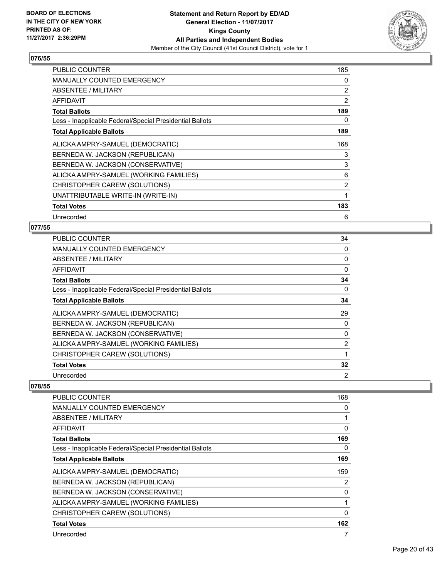

| <b>PUBLIC COUNTER</b>                                    | 185 |
|----------------------------------------------------------|-----|
| <b>MANUALLY COUNTED EMERGENCY</b>                        | 0   |
| ABSENTEE / MILITARY                                      | 2   |
| AFFIDAVIT                                                | 2   |
| <b>Total Ballots</b>                                     | 189 |
| Less - Inapplicable Federal/Special Presidential Ballots | 0   |
| <b>Total Applicable Ballots</b>                          | 189 |
| ALICKA AMPRY-SAMUEL (DEMOCRATIC)                         | 168 |
| BERNEDA W. JACKSON (REPUBLICAN)                          | 3   |
| BERNEDA W. JACKSON (CONSERVATIVE)                        | 3   |
| ALICKA AMPRY-SAMUEL (WORKING FAMILIES)                   | 6   |
| CHRISTOPHER CAREW (SOLUTIONS)                            | 2   |
| UNATTRIBUTABLE WRITE-IN (WRITE-IN)                       | 1   |
| <b>Total Votes</b>                                       | 183 |
| Unrecorded                                               | 6   |

## **077/55**

| <b>PUBLIC COUNTER</b>                                    | 34             |
|----------------------------------------------------------|----------------|
| <b>MANUALLY COUNTED EMERGENCY</b>                        | 0              |
| ABSENTEE / MILITARY                                      | 0              |
| AFFIDAVIT                                                | 0              |
| <b>Total Ballots</b>                                     | 34             |
| Less - Inapplicable Federal/Special Presidential Ballots | 0              |
| <b>Total Applicable Ballots</b>                          | 34             |
| ALICKA AMPRY-SAMUEL (DEMOCRATIC)                         | 29             |
| BERNEDA W. JACKSON (REPUBLICAN)                          | 0              |
| BERNEDA W. JACKSON (CONSERVATIVE)                        | 0              |
| ALICKA AMPRY-SAMUEL (WORKING FAMILIES)                   | $\overline{2}$ |
| CHRISTOPHER CAREW (SOLUTIONS)                            |                |
| <b>Total Votes</b>                                       | 32             |
| Unrecorded                                               | $\overline{2}$ |

| <b>PUBLIC COUNTER</b>                                    | 168            |
|----------------------------------------------------------|----------------|
| MANUALLY COUNTED EMERGENCY                               | 0              |
| ABSENTEE / MILITARY                                      | 1              |
| <b>AFFIDAVIT</b>                                         | $\Omega$       |
| <b>Total Ballots</b>                                     | 169            |
| Less - Inapplicable Federal/Special Presidential Ballots | 0              |
| <b>Total Applicable Ballots</b>                          | 169            |
| ALICKA AMPRY-SAMUEL (DEMOCRATIC)                         | 159            |
| BERNEDA W. JACKSON (REPUBLICAN)                          | $\overline{2}$ |
| BERNEDA W. JACKSON (CONSERVATIVE)                        | 0              |
| ALICKA AMPRY-SAMUEL (WORKING FAMILIES)                   | 1              |
| CHRISTOPHER CAREW (SOLUTIONS)                            | 0              |
| <b>Total Votes</b>                                       | 162            |
| Unrecorded                                               |                |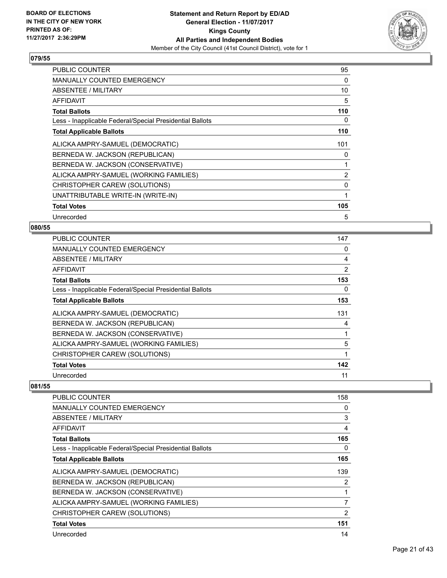

| PUBLIC COUNTER                                           | 95  |
|----------------------------------------------------------|-----|
| MANUALLY COUNTED EMERGENCY                               | 0   |
| ABSENTEE / MILITARY                                      | 10  |
| <b>AFFIDAVIT</b>                                         | 5   |
| <b>Total Ballots</b>                                     | 110 |
| Less - Inapplicable Federal/Special Presidential Ballots | 0   |
| <b>Total Applicable Ballots</b>                          | 110 |
| ALICKA AMPRY-SAMUEL (DEMOCRATIC)                         | 101 |
| BERNEDA W. JACKSON (REPUBLICAN)                          | 0   |
| BERNEDA W. JACKSON (CONSERVATIVE)                        | 1   |
| ALICKA AMPRY-SAMUEL (WORKING FAMILIES)                   | 2   |
| CHRISTOPHER CAREW (SOLUTIONS)                            | 0   |
| UNATTRIBUTABLE WRITE-IN (WRITE-IN)                       | 1   |
| <b>Total Votes</b>                                       | 105 |
| Unrecorded                                               | 5   |

## **080/55**

| <b>PUBLIC COUNTER</b>                                    | 147 |
|----------------------------------------------------------|-----|
| <b>MANUALLY COUNTED EMERGENCY</b>                        | 0   |
| ABSENTEE / MILITARY                                      | 4   |
| AFFIDAVIT                                                | 2   |
| <b>Total Ballots</b>                                     | 153 |
| Less - Inapplicable Federal/Special Presidential Ballots | 0   |
| <b>Total Applicable Ballots</b>                          | 153 |
| ALICKA AMPRY-SAMUEL (DEMOCRATIC)                         | 131 |
| BERNEDA W. JACKSON (REPUBLICAN)                          | 4   |
| BERNEDA W. JACKSON (CONSERVATIVE)                        | 1   |
| ALICKA AMPRY-SAMUEL (WORKING FAMILIES)                   | 5   |
| CHRISTOPHER CAREW (SOLUTIONS)                            | 1   |
| <b>Total Votes</b>                                       | 142 |
| Unrecorded                                               | 11  |

| <b>PUBLIC COUNTER</b>                                    | 158            |
|----------------------------------------------------------|----------------|
| <b>MANUALLY COUNTED EMERGENCY</b>                        | 0              |
| ABSENTEE / MILITARY                                      | 3              |
| <b>AFFIDAVIT</b>                                         | 4              |
| <b>Total Ballots</b>                                     | 165            |
| Less - Inapplicable Federal/Special Presidential Ballots | 0              |
| <b>Total Applicable Ballots</b>                          | 165            |
| ALICKA AMPRY-SAMUEL (DEMOCRATIC)                         | 139            |
| BERNEDA W. JACKSON (REPUBLICAN)                          | 2              |
| BERNEDA W. JACKSON (CONSERVATIVE)                        | 1              |
| ALICKA AMPRY-SAMUEL (WORKING FAMILIES)                   | 7              |
| CHRISTOPHER CAREW (SOLUTIONS)                            | $\overline{2}$ |
| <b>Total Votes</b>                                       | 151            |
| Unrecorded                                               | 14             |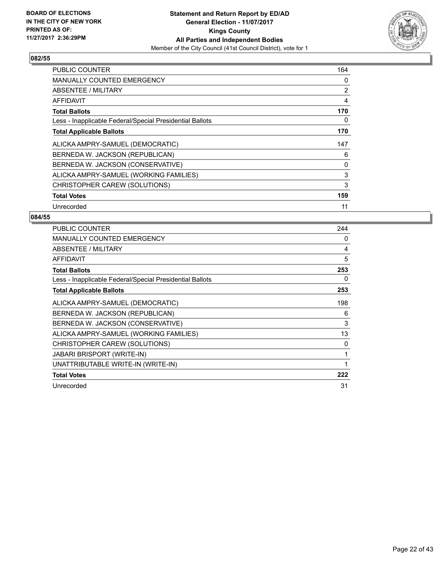

| <b>PUBLIC COUNTER</b>                                    | 164 |
|----------------------------------------------------------|-----|
| <b>MANUALLY COUNTED EMERGENCY</b>                        | 0   |
| <b>ABSENTEE / MILITARY</b>                               | 2   |
| <b>AFFIDAVIT</b>                                         | 4   |
| <b>Total Ballots</b>                                     | 170 |
| Less - Inapplicable Federal/Special Presidential Ballots | 0   |
| <b>Total Applicable Ballots</b>                          | 170 |
| ALICKA AMPRY-SAMUEL (DEMOCRATIC)                         | 147 |
| BERNEDA W. JACKSON (REPUBLICAN)                          | 6   |
| BERNEDA W. JACKSON (CONSERVATIVE)                        | 0   |
| ALICKA AMPRY-SAMUEL (WORKING FAMILIES)                   | 3   |
| CHRISTOPHER CAREW (SOLUTIONS)                            | 3   |
| <b>Total Votes</b>                                       | 159 |
| Unrecorded                                               | 11  |

| <b>PUBLIC COUNTER</b>                                    | 244 |
|----------------------------------------------------------|-----|
| <b>MANUALLY COUNTED EMERGENCY</b>                        | 0   |
| ABSENTEE / MILITARY                                      | 4   |
| AFFIDAVIT                                                | 5   |
| <b>Total Ballots</b>                                     | 253 |
| Less - Inapplicable Federal/Special Presidential Ballots | 0   |
| <b>Total Applicable Ballots</b>                          | 253 |
| ALICKA AMPRY-SAMUEL (DEMOCRATIC)                         | 198 |
| BERNEDA W. JACKSON (REPUBLICAN)                          | 6   |
| BERNEDA W. JACKSON (CONSERVATIVE)                        | 3   |
| ALICKA AMPRY-SAMUEL (WORKING FAMILIES)                   | 13  |
| CHRISTOPHER CAREW (SOLUTIONS)                            | 0   |
| <b>JABARI BRISPORT (WRITE-IN)</b>                        | 1   |
| UNATTRIBUTABLE WRITE-IN (WRITE-IN)                       | 1   |
| <b>Total Votes</b>                                       | 222 |
| Unrecorded                                               | 31  |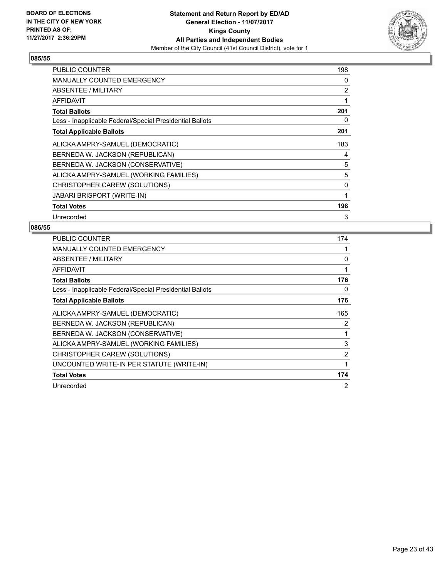

| <b>PUBLIC COUNTER</b>                                    | 198          |
|----------------------------------------------------------|--------------|
| <b>MANUALLY COUNTED EMERGENCY</b>                        | 0            |
| ABSENTEE / MILITARY                                      | 2            |
| AFFIDAVIT                                                | 1            |
| <b>Total Ballots</b>                                     | 201          |
| Less - Inapplicable Federal/Special Presidential Ballots | 0            |
| <b>Total Applicable Ballots</b>                          | 201          |
| ALICKA AMPRY-SAMUEL (DEMOCRATIC)                         | 183          |
| BERNEDA W. JACKSON (REPUBLICAN)                          | 4            |
| BERNEDA W. JACKSON (CONSERVATIVE)                        | 5            |
| ALICKA AMPRY-SAMUEL (WORKING FAMILIES)                   | 5            |
| CHRISTOPHER CAREW (SOLUTIONS)                            | 0            |
| <b>JABARI BRISPORT (WRITE-IN)</b>                        | $\mathbf{1}$ |
| <b>Total Votes</b>                                       | 198          |
| Unrecorded                                               | 3            |

| <b>PUBLIC COUNTER</b>                                    | 174            |
|----------------------------------------------------------|----------------|
| <b>MANUALLY COUNTED EMERGENCY</b>                        |                |
| ABSENTEE / MILITARY                                      | 0              |
| <b>AFFIDAVIT</b>                                         | 1              |
| <b>Total Ballots</b>                                     | 176            |
| Less - Inapplicable Federal/Special Presidential Ballots | 0              |
| <b>Total Applicable Ballots</b>                          | 176            |
| ALICKA AMPRY-SAMUEL (DEMOCRATIC)                         | 165            |
| BERNEDA W. JACKSON (REPUBLICAN)                          | 2              |
| BERNEDA W. JACKSON (CONSERVATIVE)                        | 1              |
| ALICKA AMPRY-SAMUEL (WORKING FAMILIES)                   | 3              |
| CHRISTOPHER CAREW (SOLUTIONS)                            | 2              |
| UNCOUNTED WRITE-IN PER STATUTE (WRITE-IN)                | 1              |
| <b>Total Votes</b>                                       | 174            |
| Unrecorded                                               | $\overline{2}$ |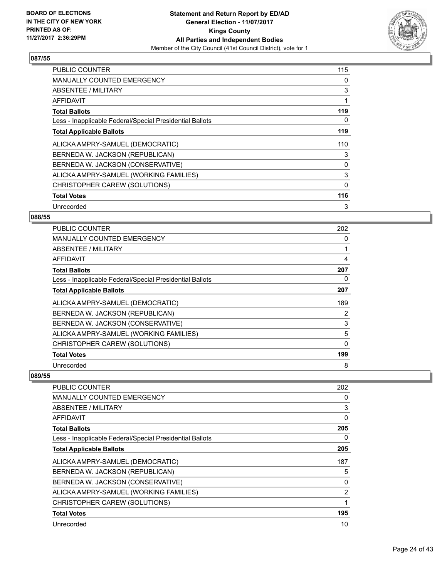

| <b>PUBLIC COUNTER</b>                                    | 115 |
|----------------------------------------------------------|-----|
| <b>MANUALLY COUNTED EMERGENCY</b>                        | 0   |
| ABSENTEE / MILITARY                                      | 3   |
| <b>AFFIDAVIT</b>                                         |     |
| <b>Total Ballots</b>                                     | 119 |
| Less - Inapplicable Federal/Special Presidential Ballots | 0   |
| <b>Total Applicable Ballots</b>                          | 119 |
| ALICKA AMPRY-SAMUEL (DEMOCRATIC)                         | 110 |
| BERNEDA W. JACKSON (REPUBLICAN)                          | 3   |
| BERNEDA W. JACKSON (CONSERVATIVE)                        | 0   |
| ALICKA AMPRY-SAMUEL (WORKING FAMILIES)                   | 3   |
| CHRISTOPHER CAREW (SOLUTIONS)                            | 0   |
| <b>Total Votes</b>                                       | 116 |
| Unrecorded                                               | 3   |

## **088/55**

| PUBLIC COUNTER                                           | 202 |
|----------------------------------------------------------|-----|
| <b>MANUALLY COUNTED EMERGENCY</b>                        | 0   |
| <b>ABSENTEE / MILITARY</b>                               |     |
| AFFIDAVIT                                                | 4   |
| <b>Total Ballots</b>                                     | 207 |
| Less - Inapplicable Federal/Special Presidential Ballots | 0   |
| <b>Total Applicable Ballots</b>                          | 207 |
| ALICKA AMPRY-SAMUEL (DEMOCRATIC)                         | 189 |
| BERNEDA W. JACKSON (REPUBLICAN)                          | 2   |
| BERNEDA W. JACKSON (CONSERVATIVE)                        | 3   |
| ALICKA AMPRY-SAMUEL (WORKING FAMILIES)                   | 5   |
| CHRISTOPHER CAREW (SOLUTIONS)                            | 0   |
| <b>Total Votes</b>                                       | 199 |
| Unrecorded                                               | 8   |

| PUBLIC COUNTER                                           | 202 |
|----------------------------------------------------------|-----|
| MANUALLY COUNTED EMERGENCY                               | 0   |
| ABSENTEE / MILITARY                                      | 3   |
| AFFIDAVIT                                                | 0   |
| <b>Total Ballots</b>                                     | 205 |
| Less - Inapplicable Federal/Special Presidential Ballots | 0   |
| <b>Total Applicable Ballots</b>                          | 205 |
| ALICKA AMPRY-SAMUEL (DEMOCRATIC)                         | 187 |
| BERNEDA W. JACKSON (REPUBLICAN)                          | 5   |
| BERNEDA W. JACKSON (CONSERVATIVE)                        | 0   |
| ALICKA AMPRY-SAMUEL (WORKING FAMILIES)                   | 2   |
| CHRISTOPHER CAREW (SOLUTIONS)                            |     |
| <b>Total Votes</b>                                       | 195 |
| Unrecorded                                               | 10  |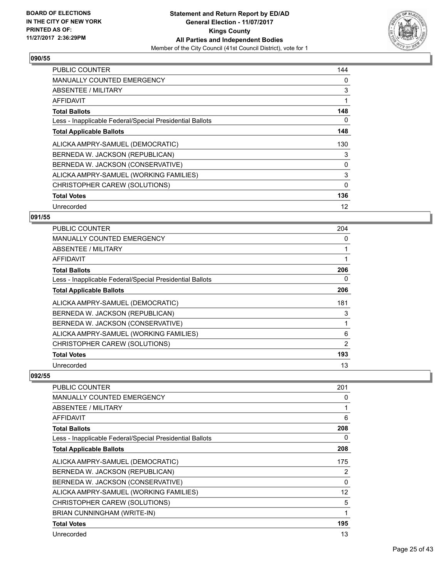

| <b>PUBLIC COUNTER</b>                                    | 144 |
|----------------------------------------------------------|-----|
| <b>MANUALLY COUNTED EMERGENCY</b>                        | 0   |
| ABSENTEE / MILITARY                                      | 3   |
| AFFIDAVIT                                                |     |
| <b>Total Ballots</b>                                     | 148 |
| Less - Inapplicable Federal/Special Presidential Ballots | 0   |
| <b>Total Applicable Ballots</b>                          | 148 |
| ALICKA AMPRY-SAMUEL (DEMOCRATIC)                         | 130 |
| BERNEDA W. JACKSON (REPUBLICAN)                          | 3   |
| BERNEDA W. JACKSON (CONSERVATIVE)                        | 0   |
| ALICKA AMPRY-SAMUEL (WORKING FAMILIES)                   | 3   |
| CHRISTOPHER CAREW (SOLUTIONS)                            | 0   |
| <b>Total Votes</b>                                       | 136 |
| Unrecorded                                               | 12  |

## **091/55**

| PUBLIC COUNTER                                           | 204 |
|----------------------------------------------------------|-----|
| <b>MANUALLY COUNTED EMERGENCY</b>                        | 0   |
| ABSENTEE / MILITARY                                      |     |
| <b>AFFIDAVIT</b>                                         |     |
| <b>Total Ballots</b>                                     | 206 |
| Less - Inapplicable Federal/Special Presidential Ballots | 0   |
| <b>Total Applicable Ballots</b>                          | 206 |
| ALICKA AMPRY-SAMUEL (DEMOCRATIC)                         | 181 |
| BERNEDA W. JACKSON (REPUBLICAN)                          | 3   |
| BERNEDA W. JACKSON (CONSERVATIVE)                        |     |
| ALICKA AMPRY-SAMUEL (WORKING FAMILIES)                   | 6   |
| CHRISTOPHER CAREW (SOLUTIONS)                            | 2   |
| <b>Total Votes</b>                                       | 193 |
| Unrecorded                                               | 13  |

| PUBLIC COUNTER                                           | 201      |
|----------------------------------------------------------|----------|
| <b>MANUALLY COUNTED EMERGENCY</b>                        | 0        |
| <b>ABSENTEE / MILITARY</b>                               | 1        |
| AFFIDAVIT                                                | 6        |
| <b>Total Ballots</b>                                     | 208      |
| Less - Inapplicable Federal/Special Presidential Ballots | 0        |
| <b>Total Applicable Ballots</b>                          | 208      |
| ALICKA AMPRY-SAMUEL (DEMOCRATIC)                         | 175      |
| BERNEDA W. JACKSON (REPUBLICAN)                          | 2        |
| BERNEDA W. JACKSON (CONSERVATIVE)                        | $\Omega$ |
| ALICKA AMPRY-SAMUEL (WORKING FAMILIES)                   | 12       |
| CHRISTOPHER CAREW (SOLUTIONS)                            | 5        |
| BRIAN CUNNINGHAM (WRITE-IN)                              | 1        |
| <b>Total Votes</b>                                       | 195      |
| Unrecorded                                               | 13       |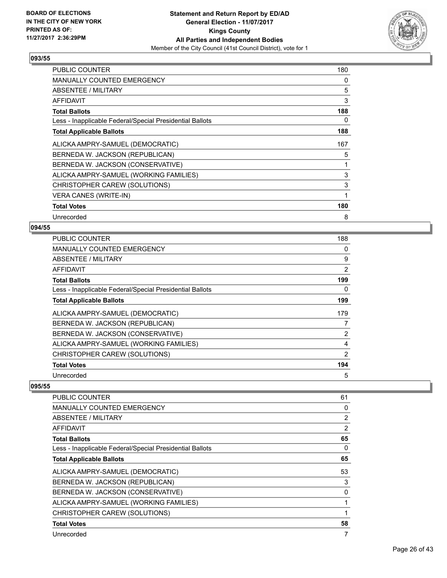

| <b>PUBLIC COUNTER</b>                                    | 180          |
|----------------------------------------------------------|--------------|
| <b>MANUALLY COUNTED EMERGENCY</b>                        | 0            |
| ABSENTEE / MILITARY                                      | 5            |
| <b>AFFIDAVIT</b>                                         | 3            |
| <b>Total Ballots</b>                                     | 188          |
| Less - Inapplicable Federal/Special Presidential Ballots | 0            |
| <b>Total Applicable Ballots</b>                          | 188          |
| ALICKA AMPRY-SAMUEL (DEMOCRATIC)                         | 167          |
| BERNEDA W. JACKSON (REPUBLICAN)                          | 5            |
| BERNEDA W. JACKSON (CONSERVATIVE)                        | 1            |
| ALICKA AMPRY-SAMUEL (WORKING FAMILIES)                   | 3            |
| CHRISTOPHER CAREW (SOLUTIONS)                            | 3            |
| <b>VERA CANES (WRITE-IN)</b>                             | $\mathbf{1}$ |
| <b>Total Votes</b>                                       | 180          |
| Unrecorded                                               | 8            |

## **094/55**

| PUBLIC COUNTER                                           | 188 |
|----------------------------------------------------------|-----|
| <b>MANUALLY COUNTED EMERGENCY</b>                        | 0   |
| ABSENTEE / MILITARY                                      | 9   |
| AFFIDAVIT                                                | 2   |
| <b>Total Ballots</b>                                     | 199 |
| Less - Inapplicable Federal/Special Presidential Ballots | 0   |
| <b>Total Applicable Ballots</b>                          | 199 |
| ALICKA AMPRY-SAMUEL (DEMOCRATIC)                         | 179 |
| BERNEDA W. JACKSON (REPUBLICAN)                          | 7   |
| BERNEDA W. JACKSON (CONSERVATIVE)                        | 2   |
| ALICKA AMPRY-SAMUEL (WORKING FAMILIES)                   | 4   |
| CHRISTOPHER CAREW (SOLUTIONS)                            | 2   |
| <b>Total Votes</b>                                       | 194 |
| Unrecorded                                               | 5   |

| <b>PUBLIC COUNTER</b>                                    | 61             |
|----------------------------------------------------------|----------------|
| <b>MANUALLY COUNTED EMERGENCY</b>                        | 0              |
| ABSENTEE / MILITARY                                      | 2              |
| AFFIDAVIT                                                | $\overline{2}$ |
| <b>Total Ballots</b>                                     | 65             |
| Less - Inapplicable Federal/Special Presidential Ballots | 0              |
| <b>Total Applicable Ballots</b>                          | 65             |
| ALICKA AMPRY-SAMUEL (DEMOCRATIC)                         | 53             |
| BERNEDA W. JACKSON (REPUBLICAN)                          | 3              |
| BERNEDA W. JACKSON (CONSERVATIVE)                        | 0              |
| ALICKA AMPRY-SAMUEL (WORKING FAMILIES)                   | 1              |
| CHRISTOPHER CAREW (SOLUTIONS)                            | 1              |
| <b>Total Votes</b>                                       | 58             |
| Unrecorded                                               | 7              |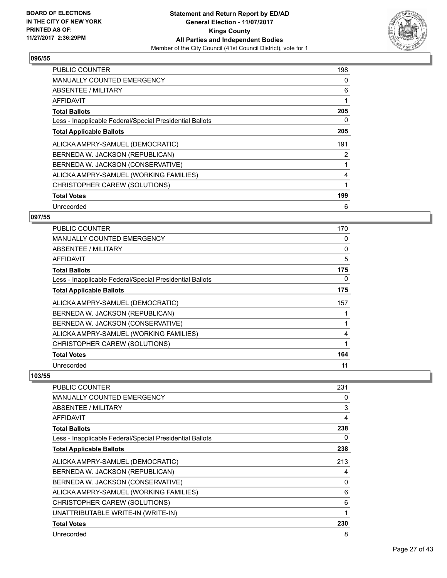

| <b>PUBLIC COUNTER</b>                                    | 198 |
|----------------------------------------------------------|-----|
| <b>MANUALLY COUNTED EMERGENCY</b>                        | 0   |
| ABSENTEE / MILITARY                                      | 6   |
| AFFIDAVIT                                                |     |
| <b>Total Ballots</b>                                     | 205 |
| Less - Inapplicable Federal/Special Presidential Ballots | 0   |
| <b>Total Applicable Ballots</b>                          | 205 |
| ALICKA AMPRY-SAMUEL (DEMOCRATIC)                         | 191 |
| BERNEDA W. JACKSON (REPUBLICAN)                          | 2   |
| BERNEDA W. JACKSON (CONSERVATIVE)                        |     |
| ALICKA AMPRY-SAMUEL (WORKING FAMILIES)                   | 4   |
| CHRISTOPHER CAREW (SOLUTIONS)                            |     |
| <b>Total Votes</b>                                       | 199 |
| Unrecorded                                               | 6   |

## **097/55**

| <b>PUBLIC COUNTER</b>                                    | 170 |
|----------------------------------------------------------|-----|
| <b>MANUALLY COUNTED EMERGENCY</b>                        | 0   |
| ABSENTEE / MILITARY                                      | 0   |
| AFFIDAVIT                                                | 5   |
| <b>Total Ballots</b>                                     | 175 |
| Less - Inapplicable Federal/Special Presidential Ballots | 0   |
| <b>Total Applicable Ballots</b>                          | 175 |
| ALICKA AMPRY-SAMUEL (DEMOCRATIC)                         | 157 |
| BERNEDA W. JACKSON (REPUBLICAN)                          |     |
| BERNEDA W. JACKSON (CONSERVATIVE)                        |     |
| ALICKA AMPRY-SAMUEL (WORKING FAMILIES)                   | 4   |
| CHRISTOPHER CAREW (SOLUTIONS)                            |     |
| <b>Total Votes</b>                                       | 164 |
| Unrecorded                                               | 11  |

| PUBLIC COUNTER                                           | 231 |
|----------------------------------------------------------|-----|
| <b>MANUALLY COUNTED EMERGENCY</b>                        | 0   |
| ABSENTEE / MILITARY                                      | 3   |
| AFFIDAVIT                                                | 4   |
| <b>Total Ballots</b>                                     | 238 |
| Less - Inapplicable Federal/Special Presidential Ballots | 0   |
| <b>Total Applicable Ballots</b>                          | 238 |
| ALICKA AMPRY-SAMUEL (DEMOCRATIC)                         | 213 |
| BERNEDA W. JACKSON (REPUBLICAN)                          | 4   |
| BERNEDA W. JACKSON (CONSERVATIVE)                        | 0   |
| ALICKA AMPRY-SAMUEL (WORKING FAMILIES)                   | 6   |
| CHRISTOPHER CAREW (SOLUTIONS)                            | 6   |
| UNATTRIBUTABLE WRITE-IN (WRITE-IN)                       | 1   |
| <b>Total Votes</b>                                       | 230 |
| Unrecorded                                               | 8   |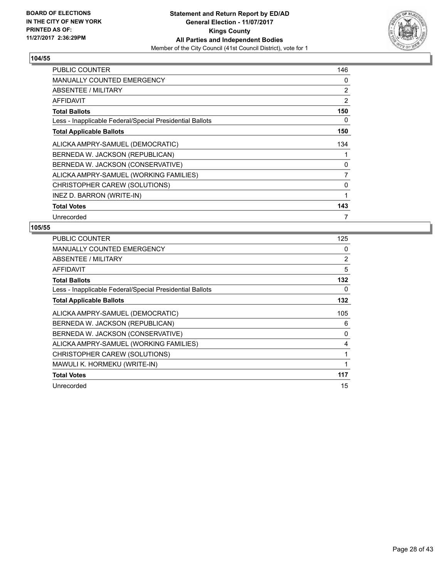

| <b>PUBLIC COUNTER</b>                                    | 146 |
|----------------------------------------------------------|-----|
| <b>MANUALLY COUNTED EMERGENCY</b>                        | 0   |
| ABSENTEE / MILITARY                                      | 2   |
| AFFIDAVIT                                                | 2   |
| <b>Total Ballots</b>                                     | 150 |
| Less - Inapplicable Federal/Special Presidential Ballots | 0   |
| <b>Total Applicable Ballots</b>                          | 150 |
| ALICKA AMPRY-SAMUEL (DEMOCRATIC)                         | 134 |
| BERNEDA W. JACKSON (REPUBLICAN)                          |     |
| BERNEDA W. JACKSON (CONSERVATIVE)                        | 0   |
| ALICKA AMPRY-SAMUEL (WORKING FAMILIES)                   | 7   |
| CHRISTOPHER CAREW (SOLUTIONS)                            | 0   |
| INEZ D. BARRON (WRITE-IN)                                | 1   |
| <b>Total Votes</b>                                       | 143 |
| Unrecorded                                               | 7   |

| <b>PUBLIC COUNTER</b>                                    | 125 |
|----------------------------------------------------------|-----|
| <b>MANUALLY COUNTED EMERGENCY</b>                        | 0   |
| ABSENTEE / MILITARY                                      | 2   |
| <b>AFFIDAVIT</b>                                         | 5   |
| <b>Total Ballots</b>                                     | 132 |
| Less - Inapplicable Federal/Special Presidential Ballots | 0   |
| <b>Total Applicable Ballots</b>                          | 132 |
| ALICKA AMPRY-SAMUEL (DEMOCRATIC)                         | 105 |
| BERNEDA W. JACKSON (REPUBLICAN)                          | 6   |
| BERNEDA W. JACKSON (CONSERVATIVE)                        | 0   |
| ALICKA AMPRY-SAMUEL (WORKING FAMILIES)                   | 4   |
| CHRISTOPHER CAREW (SOLUTIONS)                            | 1   |
| MAWULI K. HORMEKU (WRITE-IN)                             | 1   |
| <b>Total Votes</b>                                       | 117 |
| Unrecorded                                               | 15  |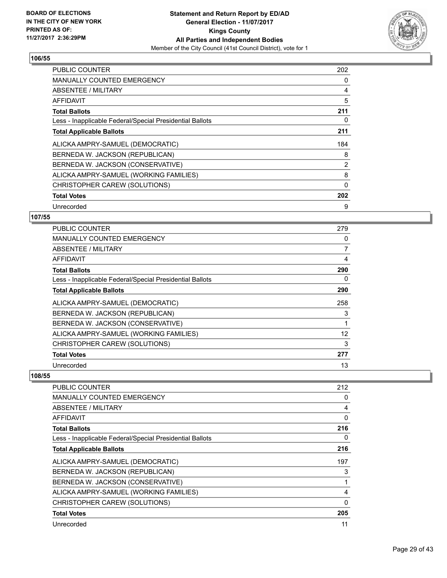

| <b>PUBLIC COUNTER</b>                                    | 202            |
|----------------------------------------------------------|----------------|
| <b>MANUALLY COUNTED EMERGENCY</b>                        | 0              |
| ABSENTEE / MILITARY                                      | 4              |
| AFFIDAVIT                                                | 5              |
| <b>Total Ballots</b>                                     | 211            |
| Less - Inapplicable Federal/Special Presidential Ballots | 0              |
| <b>Total Applicable Ballots</b>                          | 211            |
|                                                          |                |
| ALICKA AMPRY-SAMUEL (DEMOCRATIC)                         | 184            |
| BERNEDA W. JACKSON (REPUBLICAN)                          | 8              |
| BERNEDA W. JACKSON (CONSERVATIVE)                        | $\overline{2}$ |
| ALICKA AMPRY-SAMUEL (WORKING FAMILIES)                   | 8              |
| CHRISTOPHER CAREW (SOLUTIONS)                            | $\Omega$       |
| <b>Total Votes</b>                                       | 202            |

## **107/55**

| <b>PUBLIC COUNTER</b>                                    | 279            |
|----------------------------------------------------------|----------------|
| <b>MANUALLY COUNTED EMERGENCY</b>                        | 0              |
| ABSENTEE / MILITARY                                      | $\overline{7}$ |
| AFFIDAVIT                                                | 4              |
| <b>Total Ballots</b>                                     | 290            |
| Less - Inapplicable Federal/Special Presidential Ballots | 0              |
| <b>Total Applicable Ballots</b>                          | 290            |
| ALICKA AMPRY-SAMUEL (DEMOCRATIC)                         | 258            |
| BERNEDA W. JACKSON (REPUBLICAN)                          | 3              |
| BERNEDA W. JACKSON (CONSERVATIVE)                        |                |
| ALICKA AMPRY-SAMUEL (WORKING FAMILIES)                   | 12             |
| CHRISTOPHER CAREW (SOLUTIONS)                            | 3              |
| <b>Total Votes</b>                                       | 277            |
| Unrecorded                                               | 13             |

| PUBLIC COUNTER                                           | 212 |
|----------------------------------------------------------|-----|
| <b>MANUALLY COUNTED EMERGENCY</b>                        | 0   |
| <b>ABSENTEE / MILITARY</b>                               | 4   |
| <b>AFFIDAVIT</b>                                         | 0   |
| <b>Total Ballots</b>                                     | 216 |
| Less - Inapplicable Federal/Special Presidential Ballots | 0   |
| <b>Total Applicable Ballots</b>                          | 216 |
| ALICKA AMPRY-SAMUEL (DEMOCRATIC)                         | 197 |
| BERNEDA W. JACKSON (REPUBLICAN)                          | 3   |
| BERNEDA W. JACKSON (CONSERVATIVE)                        |     |
| ALICKA AMPRY-SAMUEL (WORKING FAMILIES)                   | 4   |
| CHRISTOPHER CAREW (SOLUTIONS)                            | 0   |
| <b>Total Votes</b>                                       | 205 |
| Unrecorded                                               | 11  |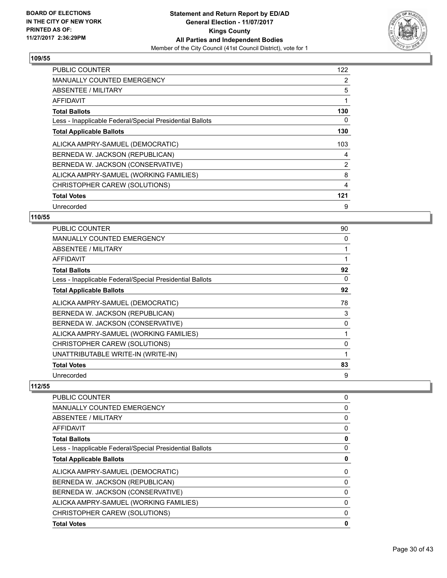

| <b>PUBLIC COUNTER</b>                                    | 122 |
|----------------------------------------------------------|-----|
| <b>MANUALLY COUNTED EMERGENCY</b>                        | 2   |
| <b>ABSENTEE / MILITARY</b>                               | 5   |
| AFFIDAVIT                                                | 1   |
| <b>Total Ballots</b>                                     | 130 |
| Less - Inapplicable Federal/Special Presidential Ballots | 0   |
| <b>Total Applicable Ballots</b>                          | 130 |
| ALICKA AMPRY-SAMUEL (DEMOCRATIC)                         | 103 |
| BERNEDA W. JACKSON (REPUBLICAN)                          | 4   |
| BERNEDA W. JACKSON (CONSERVATIVE)                        | 2   |
| ALICKA AMPRY-SAMUEL (WORKING FAMILIES)                   | 8   |
| CHRISTOPHER CAREW (SOLUTIONS)                            | 4   |
| <b>Total Votes</b>                                       | 121 |
|                                                          | 9   |

## **110/55**

| <b>PUBLIC COUNTER</b>                                    | 90 |
|----------------------------------------------------------|----|
| <b>MANUALLY COUNTED EMERGENCY</b>                        | 0  |
| <b>ABSENTEE / MILITARY</b>                               |    |
| AFFIDAVIT                                                |    |
| <b>Total Ballots</b>                                     | 92 |
| Less - Inapplicable Federal/Special Presidential Ballots | 0  |
| <b>Total Applicable Ballots</b>                          | 92 |
| ALICKA AMPRY-SAMUEL (DEMOCRATIC)                         | 78 |
| BERNEDA W. JACKSON (REPUBLICAN)                          | 3  |
| BERNEDA W. JACKSON (CONSERVATIVE)                        | 0  |
| ALICKA AMPRY-SAMUEL (WORKING FAMILIES)                   |    |
| CHRISTOPHER CAREW (SOLUTIONS)                            | 0  |
| UNATTRIBUTABLE WRITE-IN (WRITE-IN)                       |    |
| <b>Total Votes</b>                                       | 83 |
| Unrecorded                                               | 9  |

| <b>PUBLIC COUNTER</b>                                    | 0 |
|----------------------------------------------------------|---|
| <b>MANUALLY COUNTED EMERGENCY</b>                        | 0 |
| ABSENTEE / MILITARY                                      | 0 |
| AFFIDAVIT                                                | 0 |
| <b>Total Ballots</b>                                     | 0 |
| Less - Inapplicable Federal/Special Presidential Ballots | 0 |
| <b>Total Applicable Ballots</b>                          | 0 |
| ALICKA AMPRY-SAMUEL (DEMOCRATIC)                         | 0 |
| BERNEDA W. JACKSON (REPUBLICAN)                          | 0 |
| BERNEDA W. JACKSON (CONSERVATIVE)                        | 0 |
| ALICKA AMPRY-SAMUEL (WORKING FAMILIES)                   | 0 |
| CHRISTOPHER CAREW (SOLUTIONS)                            | 0 |
| <b>Total Votes</b>                                       | 0 |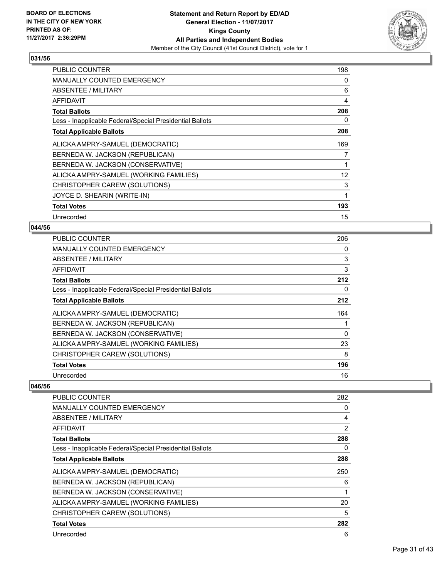

| <b>PUBLIC COUNTER</b>                                    | 198 |
|----------------------------------------------------------|-----|
| MANUALLY COUNTED EMERGENCY                               | 0   |
| ABSENTEE / MILITARY                                      | 6   |
| AFFIDAVIT                                                | 4   |
| <b>Total Ballots</b>                                     | 208 |
| Less - Inapplicable Federal/Special Presidential Ballots | 0   |
| <b>Total Applicable Ballots</b>                          | 208 |
| ALICKA AMPRY-SAMUEL (DEMOCRATIC)                         | 169 |
| BERNEDA W. JACKSON (REPUBLICAN)                          | 7   |
| BERNEDA W. JACKSON (CONSERVATIVE)                        | 1   |
| ALICKA AMPRY-SAMUEL (WORKING FAMILIES)                   | 12  |
| CHRISTOPHER CAREW (SOLUTIONS)                            | 3   |
| JOYCE D. SHEARIN (WRITE-IN)                              | 1   |
| <b>Total Votes</b>                                       | 193 |
| Unrecorded                                               | 15  |

## **044/56**

| <b>PUBLIC COUNTER</b>                                    | 206 |
|----------------------------------------------------------|-----|
| <b>MANUALLY COUNTED EMERGENCY</b>                        | 0   |
| ABSENTEE / MILITARY                                      | 3   |
| AFFIDAVIT                                                | 3   |
| <b>Total Ballots</b>                                     | 212 |
| Less - Inapplicable Federal/Special Presidential Ballots | 0   |
| <b>Total Applicable Ballots</b>                          | 212 |
| ALICKA AMPRY-SAMUEL (DEMOCRATIC)                         | 164 |
| BERNEDA W. JACKSON (REPUBLICAN)                          |     |
| BERNEDA W. JACKSON (CONSERVATIVE)                        | 0   |
| ALICKA AMPRY-SAMUEL (WORKING FAMILIES)                   | 23  |
| CHRISTOPHER CAREW (SOLUTIONS)                            | 8   |
| <b>Total Votes</b>                                       | 196 |
| Unrecorded                                               | 16  |

| <b>PUBLIC COUNTER</b>                                    | 282            |
|----------------------------------------------------------|----------------|
| <b>MANUALLY COUNTED EMERGENCY</b>                        | 0              |
| ABSENTEE / MILITARY                                      | 4              |
| AFFIDAVIT                                                | $\overline{2}$ |
| <b>Total Ballots</b>                                     | 288            |
| Less - Inapplicable Federal/Special Presidential Ballots | 0              |
| <b>Total Applicable Ballots</b>                          | 288            |
| ALICKA AMPRY-SAMUEL (DEMOCRATIC)                         | 250            |
| BERNEDA W. JACKSON (REPUBLICAN)                          | 6              |
| BERNEDA W. JACKSON (CONSERVATIVE)                        | 1              |
| ALICKA AMPRY-SAMUEL (WORKING FAMILIES)                   | 20             |
| CHRISTOPHER CAREW (SOLUTIONS)                            | 5              |
| <b>Total Votes</b>                                       | 282            |
| Unrecorded                                               | 6              |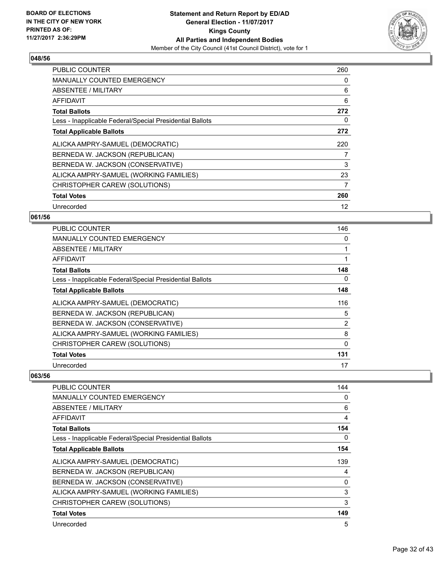

| <b>PUBLIC COUNTER</b>                                    | 260 |
|----------------------------------------------------------|-----|
| <b>MANUALLY COUNTED EMERGENCY</b>                        | 0   |
| ABSENTEE / MILITARY                                      | 6   |
| AFFIDAVIT                                                | 6   |
| <b>Total Ballots</b>                                     | 272 |
| Less - Inapplicable Federal/Special Presidential Ballots | 0   |
| <b>Total Applicable Ballots</b>                          | 272 |
| ALICKA AMPRY-SAMUEL (DEMOCRATIC)                         | 220 |
| BERNEDA W. JACKSON (REPUBLICAN)                          | 7   |
| BERNEDA W. JACKSON (CONSERVATIVE)                        | 3   |
| ALICKA AMPRY-SAMUEL (WORKING FAMILIES)                   | 23  |
| CHRISTOPHER CAREW (SOLUTIONS)                            | 7   |
| <b>Total Votes</b>                                       | 260 |
| Unrecorded                                               | 12  |

## **061/56**

| <b>PUBLIC COUNTER</b>                                    | 146 |
|----------------------------------------------------------|-----|
| <b>MANUALLY COUNTED EMERGENCY</b>                        | 0   |
| ABSENTEE / MILITARY                                      |     |
| AFFIDAVIT                                                |     |
| <b>Total Ballots</b>                                     | 148 |
| Less - Inapplicable Federal/Special Presidential Ballots | 0   |
| <b>Total Applicable Ballots</b>                          | 148 |
| ALICKA AMPRY-SAMUEL (DEMOCRATIC)                         | 116 |
| BERNEDA W. JACKSON (REPUBLICAN)                          | 5   |
| BERNEDA W. JACKSON (CONSERVATIVE)                        | 2   |
| ALICKA AMPRY-SAMUEL (WORKING FAMILIES)                   | 8   |
| CHRISTOPHER CAREW (SOLUTIONS)                            | 0   |
| <b>Total Votes</b>                                       | 131 |
| Unrecorded                                               | 17  |

| PUBLIC COUNTER                                           | 144 |
|----------------------------------------------------------|-----|
| <b>MANUALLY COUNTED EMERGENCY</b>                        | 0   |
| <b>ABSENTEE / MILITARY</b>                               | 6   |
| AFFIDAVIT                                                | 4   |
| <b>Total Ballots</b>                                     | 154 |
| Less - Inapplicable Federal/Special Presidential Ballots | 0   |
| <b>Total Applicable Ballots</b>                          | 154 |
| ALICKA AMPRY-SAMUEL (DEMOCRATIC)                         | 139 |
| BERNEDA W. JACKSON (REPUBLICAN)                          | 4   |
| BERNEDA W. JACKSON (CONSERVATIVE)                        | 0   |
| ALICKA AMPRY-SAMUEL (WORKING FAMILIES)                   | 3   |
| CHRISTOPHER CAREW (SOLUTIONS)                            | 3   |
| <b>Total Votes</b>                                       | 149 |
| Unrecorded                                               | 5   |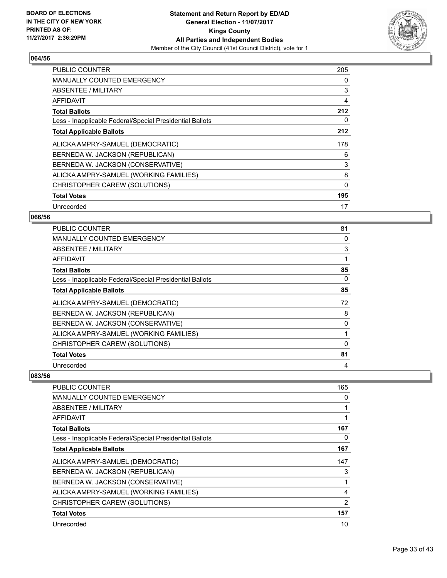

| <b>PUBLIC COUNTER</b>                                    | 205      |
|----------------------------------------------------------|----------|
| <b>MANUALLY COUNTED EMERGENCY</b>                        | 0        |
| <b>ABSENTEE / MILITARY</b>                               | 3        |
| AFFIDAVIT                                                | 4        |
| <b>Total Ballots</b>                                     | 212      |
| Less - Inapplicable Federal/Special Presidential Ballots | 0        |
| <b>Total Applicable Ballots</b>                          | 212      |
| ALICKA AMPRY-SAMUEL (DEMOCRATIC)                         | 178      |
| BERNEDA W. JACKSON (REPUBLICAN)                          | 6        |
| BERNEDA W. JACKSON (CONSERVATIVE)                        | 3        |
| ALICKA AMPRY-SAMUEL (WORKING FAMILIES)                   | 8        |
| CHRISTOPHER CAREW (SOLUTIONS)                            | $\Omega$ |
| <b>Total Votes</b>                                       | 195      |
| Unrecorded                                               | 17       |

## **066/56**

| <b>PUBLIC COUNTER</b>                                    | 81 |
|----------------------------------------------------------|----|
| <b>MANUALLY COUNTED EMERGENCY</b>                        | 0  |
| ABSENTEE / MILITARY                                      | 3  |
| AFFIDAVIT                                                | 1  |
| <b>Total Ballots</b>                                     | 85 |
| Less - Inapplicable Federal/Special Presidential Ballots | 0  |
| <b>Total Applicable Ballots</b>                          | 85 |
| ALICKA AMPRY-SAMUEL (DEMOCRATIC)                         | 72 |
| BERNEDA W. JACKSON (REPUBLICAN)                          | 8  |
| BERNEDA W. JACKSON (CONSERVATIVE)                        | 0  |
| ALICKA AMPRY-SAMUEL (WORKING FAMILIES)                   | 1  |
| CHRISTOPHER CAREW (SOLUTIONS)                            | 0  |
| <b>Total Votes</b>                                       | 81 |
| Unrecorded                                               | 4  |

| PUBLIC COUNTER                                           | 165 |
|----------------------------------------------------------|-----|
| <b>MANUALLY COUNTED EMERGENCY</b>                        | 0   |
| <b>ABSENTEE / MILITARY</b>                               |     |
| AFFIDAVIT                                                |     |
| <b>Total Ballots</b>                                     | 167 |
| Less - Inapplicable Federal/Special Presidential Ballots | 0   |
| <b>Total Applicable Ballots</b>                          | 167 |
| ALICKA AMPRY-SAMUEL (DEMOCRATIC)                         | 147 |
| BERNEDA W. JACKSON (REPUBLICAN)                          | 3   |
| BERNEDA W. JACKSON (CONSERVATIVE)                        |     |
| ALICKA AMPRY-SAMUEL (WORKING FAMILIES)                   | 4   |
| CHRISTOPHER CAREW (SOLUTIONS)                            | 2   |
| <b>Total Votes</b>                                       | 157 |
| Unrecorded                                               | 10  |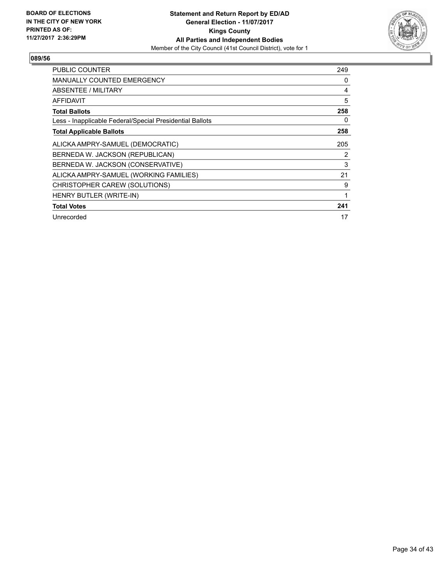

| <b>PUBLIC COUNTER</b>                                    | 249 |
|----------------------------------------------------------|-----|
| <b>MANUALLY COUNTED EMERGENCY</b>                        | 0   |
| ABSENTEE / MILITARY                                      | 4   |
| AFFIDAVIT                                                | 5   |
| <b>Total Ballots</b>                                     | 258 |
| Less - Inapplicable Federal/Special Presidential Ballots | 0   |
| <b>Total Applicable Ballots</b>                          | 258 |
| ALICKA AMPRY-SAMUEL (DEMOCRATIC)                         | 205 |
| BERNEDA W. JACKSON (REPUBLICAN)                          | 2   |
| BERNEDA W. JACKSON (CONSERVATIVE)                        | 3   |
| ALICKA AMPRY-SAMUEL (WORKING FAMILIES)                   | 21  |
| CHRISTOPHER CAREW (SOLUTIONS)                            | 9   |
| HENRY BUTLER (WRITE-IN)                                  | 1   |
| <b>Total Votes</b>                                       | 241 |
| Unrecorded                                               | 17  |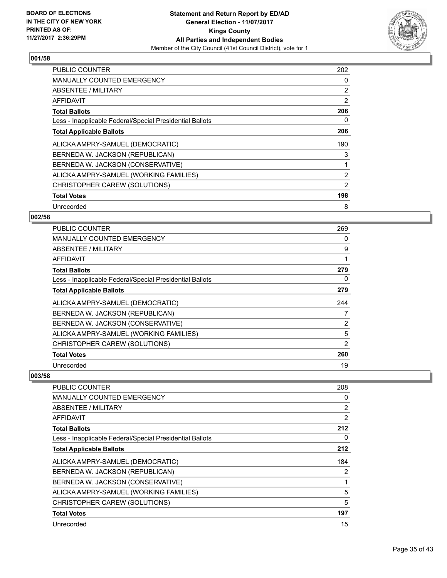

| <b>PUBLIC COUNTER</b>                                    | 202 |
|----------------------------------------------------------|-----|
| <b>MANUALLY COUNTED EMERGENCY</b>                        | 0   |
| ABSENTEE / MILITARY                                      | 2   |
| AFFIDAVIT                                                | 2   |
| <b>Total Ballots</b>                                     | 206 |
| Less - Inapplicable Federal/Special Presidential Ballots | 0   |
| <b>Total Applicable Ballots</b>                          | 206 |
| ALICKA AMPRY-SAMUEL (DEMOCRATIC)                         | 190 |
| BERNEDA W. JACKSON (REPUBLICAN)                          | 3   |
| BERNEDA W. JACKSON (CONSERVATIVE)                        | 1   |
| ALICKA AMPRY-SAMUEL (WORKING FAMILIES)                   | 2   |
| CHRISTOPHER CAREW (SOLUTIONS)                            | 2   |
| <b>Total Votes</b>                                       | 198 |
| Unrecorded                                               | 8   |

## **002/58**

| PUBLIC COUNTER                                           | 269            |
|----------------------------------------------------------|----------------|
| <b>MANUALLY COUNTED EMERGENCY</b>                        | 0              |
| ABSENTEE / MILITARY                                      | 9              |
| <b>AFFIDAVIT</b>                                         |                |
| <b>Total Ballots</b>                                     | 279            |
| Less - Inapplicable Federal/Special Presidential Ballots | 0              |
| <b>Total Applicable Ballots</b>                          | 279            |
| ALICKA AMPRY-SAMUEL (DEMOCRATIC)                         | 244            |
| BERNEDA W. JACKSON (REPUBLICAN)                          | 7              |
| BERNEDA W. JACKSON (CONSERVATIVE)                        | $\overline{2}$ |
| ALICKA AMPRY-SAMUEL (WORKING FAMILIES)                   | 5              |
| CHRISTOPHER CAREW (SOLUTIONS)                            | 2              |
| <b>Total Votes</b>                                       | 260            |
| Unrecorded                                               | 19             |

| <b>PUBLIC COUNTER</b>                                    | 208 |
|----------------------------------------------------------|-----|
| <b>MANUALLY COUNTED EMERGENCY</b>                        | 0   |
| ABSENTEE / MILITARY                                      | 2   |
| AFFIDAVIT                                                | 2   |
| <b>Total Ballots</b>                                     | 212 |
| Less - Inapplicable Federal/Special Presidential Ballots | 0   |
| <b>Total Applicable Ballots</b>                          | 212 |
| ALICKA AMPRY-SAMUEL (DEMOCRATIC)                         | 184 |
| BERNEDA W. JACKSON (REPUBLICAN)                          | 2   |
| BERNEDA W. JACKSON (CONSERVATIVE)                        | 1   |
| ALICKA AMPRY-SAMUEL (WORKING FAMILIES)                   | 5   |
| CHRISTOPHER CAREW (SOLUTIONS)                            | 5   |
| <b>Total Votes</b>                                       | 197 |
| Unrecorded                                               | 15  |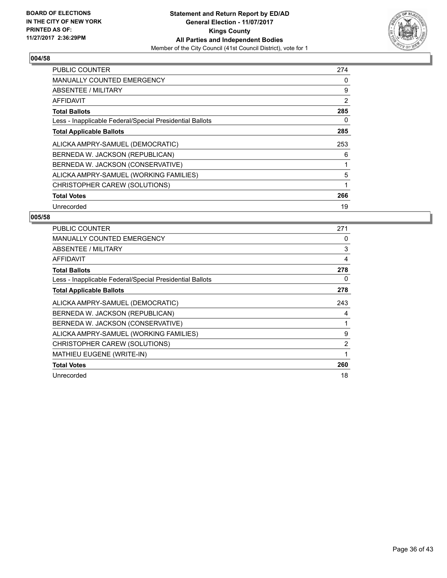

| <b>PUBLIC COUNTER</b>                                    | 274 |
|----------------------------------------------------------|-----|
| <b>MANUALLY COUNTED EMERGENCY</b>                        | 0   |
| ABSENTEE / MILITARY                                      | 9   |
| AFFIDAVIT                                                | 2   |
| <b>Total Ballots</b>                                     | 285 |
| Less - Inapplicable Federal/Special Presidential Ballots | 0   |
| <b>Total Applicable Ballots</b>                          | 285 |
| ALICKA AMPRY-SAMUEL (DEMOCRATIC)                         | 253 |
| BERNEDA W. JACKSON (REPUBLICAN)                          | 6   |
| BERNEDA W. JACKSON (CONSERVATIVE)                        | 1   |
| ALICKA AMPRY-SAMUEL (WORKING FAMILIES)                   | 5   |
| CHRISTOPHER CAREW (SOLUTIONS)                            | 1   |
| <b>Total Votes</b>                                       | 266 |
| Unrecorded                                               | 19  |

| <b>PUBLIC COUNTER</b>                                    | 271 |
|----------------------------------------------------------|-----|
| <b>MANUALLY COUNTED EMERGENCY</b>                        | 0   |
| ABSENTEE / MILITARY                                      | 3   |
| AFFIDAVIT                                                | 4   |
| <b>Total Ballots</b>                                     | 278 |
| Less - Inapplicable Federal/Special Presidential Ballots | 0   |
| <b>Total Applicable Ballots</b>                          | 278 |
| ALICKA AMPRY-SAMUEL (DEMOCRATIC)                         | 243 |
| BERNEDA W. JACKSON (REPUBLICAN)                          | 4   |
| BERNEDA W. JACKSON (CONSERVATIVE)                        |     |
| ALICKA AMPRY-SAMUEL (WORKING FAMILIES)                   | 9   |
| CHRISTOPHER CAREW (SOLUTIONS)                            | 2   |
| <b>MATHIEU EUGENE (WRITE-IN)</b>                         | 1   |
| <b>Total Votes</b>                                       | 260 |
| Unrecorded                                               | 18  |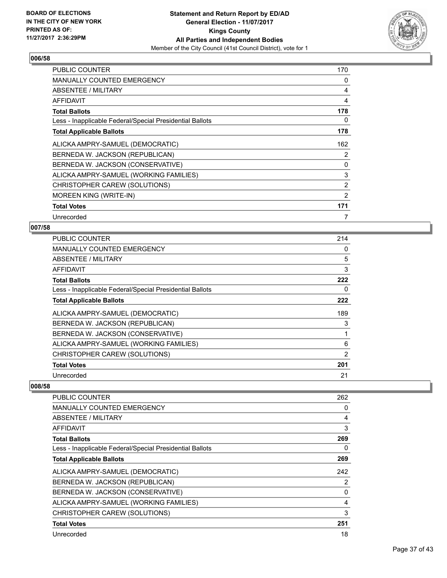

| <b>PUBLIC COUNTER</b>                                    | 170 |
|----------------------------------------------------------|-----|
| <b>MANUALLY COUNTED EMERGENCY</b>                        | 0   |
| ABSENTEE / MILITARY                                      | 4   |
| <b>AFFIDAVIT</b>                                         | 4   |
| <b>Total Ballots</b>                                     | 178 |
| Less - Inapplicable Federal/Special Presidential Ballots | 0   |
| <b>Total Applicable Ballots</b>                          | 178 |
| ALICKA AMPRY-SAMUEL (DEMOCRATIC)                         | 162 |
| BERNEDA W. JACKSON (REPUBLICAN)                          | 2   |
| BERNEDA W. JACKSON (CONSERVATIVE)                        | 0   |
| ALICKA AMPRY-SAMUEL (WORKING FAMILIES)                   | 3   |
| CHRISTOPHER CAREW (SOLUTIONS)                            | 2   |
| <b>MOREEN KING (WRITE-IN)</b>                            | 2   |
| <b>Total Votes</b>                                       | 171 |
| Unrecorded                                               | 7   |

#### **007/58**

| <b>PUBLIC COUNTER</b>                                    | 214 |
|----------------------------------------------------------|-----|
| <b>MANUALLY COUNTED EMERGENCY</b>                        | 0   |
| ABSENTEE / MILITARY                                      | 5   |
| AFFIDAVIT                                                | 3   |
| <b>Total Ballots</b>                                     | 222 |
| Less - Inapplicable Federal/Special Presidential Ballots | 0   |
| <b>Total Applicable Ballots</b>                          | 222 |
| ALICKA AMPRY-SAMUEL (DEMOCRATIC)                         | 189 |
| BERNEDA W. JACKSON (REPUBLICAN)                          | 3   |
| BERNEDA W. JACKSON (CONSERVATIVE)                        |     |
| ALICKA AMPRY-SAMUEL (WORKING FAMILIES)                   | 6   |
| CHRISTOPHER CAREW (SOLUTIONS)                            | 2   |
| <b>Total Votes</b>                                       | 201 |
| Unrecorded                                               | 21  |

| PUBLIC COUNTER                                           | 262 |
|----------------------------------------------------------|-----|
| <b>MANUALLY COUNTED EMERGENCY</b>                        | 0   |
| ABSENTEE / MILITARY                                      | 4   |
| AFFIDAVIT                                                | 3   |
| <b>Total Ballots</b>                                     | 269 |
| Less - Inapplicable Federal/Special Presidential Ballots | 0   |
| <b>Total Applicable Ballots</b>                          | 269 |
| ALICKA AMPRY-SAMUEL (DEMOCRATIC)                         | 242 |
| BERNEDA W. JACKSON (REPUBLICAN)                          | 2   |
| BERNEDA W. JACKSON (CONSERVATIVE)                        | 0   |
| ALICKA AMPRY-SAMUEL (WORKING FAMILIES)                   | 4   |
| CHRISTOPHER CAREW (SOLUTIONS)                            | 3   |
| <b>Total Votes</b>                                       | 251 |
| Unrecorded                                               | 18  |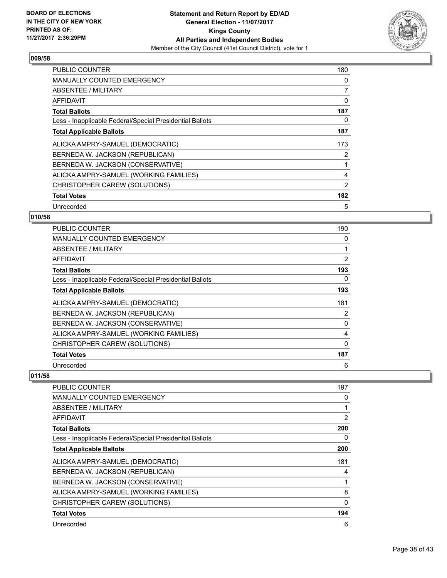

| <b>PUBLIC COUNTER</b>                                    | 180 |
|----------------------------------------------------------|-----|
| <b>MANUALLY COUNTED EMERGENCY</b>                        | 0   |
| <b>ABSENTEE / MILITARY</b>                               | 7   |
| AFFIDAVIT                                                | 0   |
| <b>Total Ballots</b>                                     | 187 |
| Less - Inapplicable Federal/Special Presidential Ballots | 0   |
| <b>Total Applicable Ballots</b>                          | 187 |
| ALICKA AMPRY-SAMUEL (DEMOCRATIC)                         | 173 |
| BERNEDA W. JACKSON (REPUBLICAN)                          | 2   |
| BERNEDA W. JACKSON (CONSERVATIVE)                        | 1   |
| ALICKA AMPRY-SAMUEL (WORKING FAMILIES)                   | 4   |
| CHRISTOPHER CAREW (SOLUTIONS)                            | 2   |
| <b>Total Votes</b>                                       | 182 |
| Unrecorded                                               | 5   |

## **010/58**

| <b>PUBLIC COUNTER</b>                                    | 190 |
|----------------------------------------------------------|-----|
| <b>MANUALLY COUNTED EMERGENCY</b>                        | 0   |
| ABSENTEE / MILITARY                                      | 1   |
| AFFIDAVIT                                                | 2   |
| <b>Total Ballots</b>                                     | 193 |
| Less - Inapplicable Federal/Special Presidential Ballots | 0   |
| <b>Total Applicable Ballots</b>                          | 193 |
| ALICKA AMPRY-SAMUEL (DEMOCRATIC)                         | 181 |
| BERNEDA W. JACKSON (REPUBLICAN)                          | 2   |
| BERNEDA W. JACKSON (CONSERVATIVE)                        | 0   |
| ALICKA AMPRY-SAMUEL (WORKING FAMILIES)                   | 4   |
| CHRISTOPHER CAREW (SOLUTIONS)                            | 0   |
| <b>Total Votes</b>                                       | 187 |
| Unrecorded                                               | 6   |

| <b>PUBLIC COUNTER</b>                                    | 197      |
|----------------------------------------------------------|----------|
| <b>MANUALLY COUNTED EMERGENCY</b>                        | 0        |
| ABSENTEE / MILITARY                                      |          |
| <b>AFFIDAVIT</b>                                         | 2        |
| <b>Total Ballots</b>                                     | 200      |
| Less - Inapplicable Federal/Special Presidential Ballots | 0        |
| <b>Total Applicable Ballots</b>                          | 200      |
| ALICKA AMPRY-SAMUEL (DEMOCRATIC)                         | 181      |
| BERNEDA W. JACKSON (REPUBLICAN)                          | 4        |
| BERNEDA W. JACKSON (CONSERVATIVE)                        |          |
| ALICKA AMPRY-SAMUEL (WORKING FAMILIES)                   | 8        |
| CHRISTOPHER CAREW (SOLUTIONS)                            | $\Omega$ |
| <b>Total Votes</b>                                       | 194      |
| Unrecorded                                               | 6        |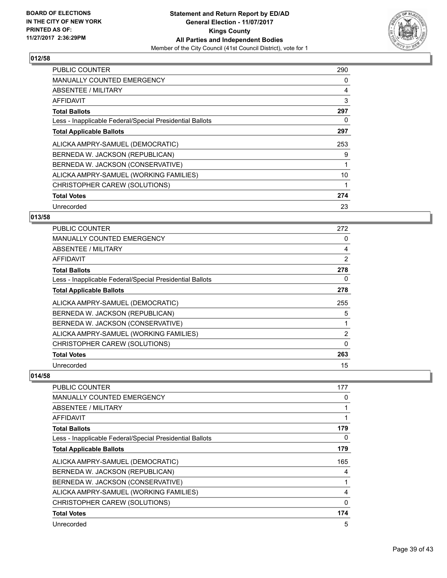

| <b>PUBLIC COUNTER</b>                                    | 290 |
|----------------------------------------------------------|-----|
| <b>MANUALLY COUNTED EMERGENCY</b>                        | 0   |
| ABSENTEE / MILITARY                                      | 4   |
| AFFIDAVIT                                                | 3   |
| <b>Total Ballots</b>                                     | 297 |
| Less - Inapplicable Federal/Special Presidential Ballots | 0   |
| <b>Total Applicable Ballots</b>                          | 297 |
| ALICKA AMPRY-SAMUEL (DEMOCRATIC)                         | 253 |
| BERNEDA W. JACKSON (REPUBLICAN)                          | 9   |
| BERNEDA W. JACKSON (CONSERVATIVE)                        |     |
| ALICKA AMPRY-SAMUEL (WORKING FAMILIES)                   | 10  |
| CHRISTOPHER CAREW (SOLUTIONS)                            |     |
| <b>Total Votes</b>                                       | 274 |
| Unrecorded                                               | 23  |

## **013/58**

| <b>PUBLIC COUNTER</b>                                    | 272            |
|----------------------------------------------------------|----------------|
| <b>MANUALLY COUNTED EMERGENCY</b>                        | 0              |
| ABSENTEE / MILITARY                                      | 4              |
| AFFIDAVIT                                                | 2              |
| <b>Total Ballots</b>                                     | 278            |
| Less - Inapplicable Federal/Special Presidential Ballots | 0              |
| <b>Total Applicable Ballots</b>                          | 278            |
| ALICKA AMPRY-SAMUEL (DEMOCRATIC)                         | 255            |
| BERNEDA W. JACKSON (REPUBLICAN)                          | 5              |
| BERNEDA W. JACKSON (CONSERVATIVE)                        |                |
| ALICKA AMPRY-SAMUEL (WORKING FAMILIES)                   | $\overline{2}$ |
| CHRISTOPHER CAREW (SOLUTIONS)                            | 0              |
| <b>Total Votes</b>                                       | 263            |
| Unrecorded                                               | 15             |

| PUBLIC COUNTER                                           | 177         |
|----------------------------------------------------------|-------------|
| <b>MANUALLY COUNTED EMERGENCY</b>                        | 0           |
| <b>ABSENTEE / MILITARY</b>                               |             |
| AFFIDAVIT                                                |             |
| <b>Total Ballots</b>                                     | 179         |
| Less - Inapplicable Federal/Special Presidential Ballots | 0           |
| <b>Total Applicable Ballots</b>                          | 179         |
| ALICKA AMPRY-SAMUEL (DEMOCRATIC)                         | 165         |
| BERNEDA W. JACKSON (REPUBLICAN)                          | 4           |
| BERNEDA W. JACKSON (CONSERVATIVE)                        |             |
| ALICKA AMPRY-SAMUEL (WORKING FAMILIES)                   | 4           |
| CHRISTOPHER CAREW (SOLUTIONS)                            | $\mathbf 0$ |
| <b>Total Votes</b>                                       | 174         |
| Unrecorded                                               | 5           |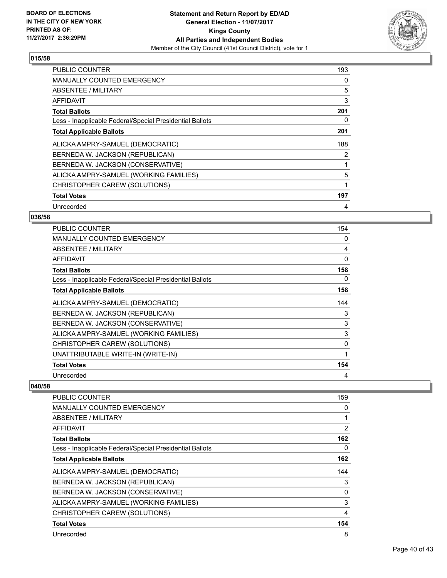

| <b>PUBLIC COUNTER</b>                                    | 193 |
|----------------------------------------------------------|-----|
| <b>MANUALLY COUNTED EMERGENCY</b>                        | 0   |
| ABSENTEE / MILITARY                                      | 5   |
| AFFIDAVIT                                                | 3   |
| <b>Total Ballots</b>                                     | 201 |
| Less - Inapplicable Federal/Special Presidential Ballots | 0   |
| <b>Total Applicable Ballots</b>                          | 201 |
| ALICKA AMPRY-SAMUEL (DEMOCRATIC)                         | 188 |
| BERNEDA W. JACKSON (REPUBLICAN)                          | 2   |
| BERNEDA W. JACKSON (CONSERVATIVE)                        |     |
| ALICKA AMPRY-SAMUEL (WORKING FAMILIES)                   | 5   |
| CHRISTOPHER CAREW (SOLUTIONS)                            | 1   |
| <b>Total Votes</b>                                       | 197 |
| Unrecorded                                               | 4   |

## **036/58**

| <b>PUBLIC COUNTER</b>                                    | 154 |
|----------------------------------------------------------|-----|
| <b>MANUALLY COUNTED EMERGENCY</b>                        | 0   |
| <b>ABSENTEE / MILITARY</b>                               | 4   |
| AFFIDAVIT                                                | 0   |
| <b>Total Ballots</b>                                     | 158 |
| Less - Inapplicable Federal/Special Presidential Ballots | 0   |
| <b>Total Applicable Ballots</b>                          | 158 |
| ALICKA AMPRY-SAMUEL (DEMOCRATIC)                         | 144 |
| BERNEDA W. JACKSON (REPUBLICAN)                          | 3   |
| BERNEDA W. JACKSON (CONSERVATIVE)                        | 3   |
| ALICKA AMPRY-SAMUEL (WORKING FAMILIES)                   | 3   |
| CHRISTOPHER CAREW (SOLUTIONS)                            | 0   |
| UNATTRIBUTABLE WRITE-IN (WRITE-IN)                       |     |
| <b>Total Votes</b>                                       | 154 |
| Unrecorded                                               | 4   |

| <b>PUBLIC COUNTER</b>                                    | 159            |
|----------------------------------------------------------|----------------|
| <b>MANUALLY COUNTED EMERGENCY</b>                        | 0              |
| ABSENTEE / MILITARY                                      |                |
| <b>AFFIDAVIT</b>                                         | $\overline{2}$ |
| <b>Total Ballots</b>                                     | 162            |
| Less - Inapplicable Federal/Special Presidential Ballots | 0              |
| <b>Total Applicable Ballots</b>                          | 162            |
| ALICKA AMPRY-SAMUEL (DEMOCRATIC)                         | 144            |
| BERNEDA W. JACKSON (REPUBLICAN)                          | 3              |
| BERNEDA W. JACKSON (CONSERVATIVE)                        | 0              |
| ALICKA AMPRY-SAMUEL (WORKING FAMILIES)                   | 3              |
| CHRISTOPHER CAREW (SOLUTIONS)                            | 4              |
| <b>Total Votes</b>                                       | 154            |
| Unrecorded                                               | 8              |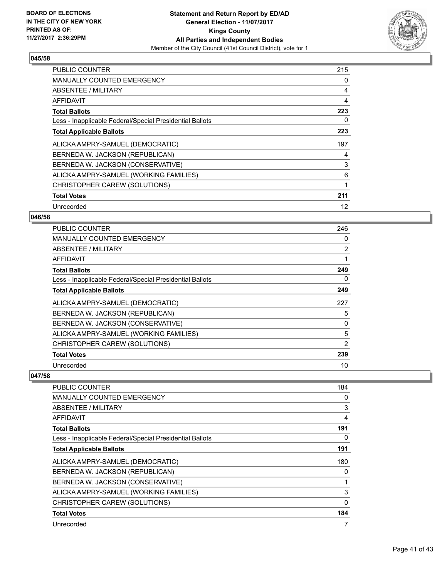

| <b>PUBLIC COUNTER</b>                                    | 215 |
|----------------------------------------------------------|-----|
| <b>MANUALLY COUNTED EMERGENCY</b>                        | 0   |
| <b>ABSENTEE / MILITARY</b>                               | 4   |
| AFFIDAVIT                                                | 4   |
| <b>Total Ballots</b>                                     | 223 |
| Less - Inapplicable Federal/Special Presidential Ballots | 0   |
| <b>Total Applicable Ballots</b>                          | 223 |
| ALICKA AMPRY-SAMUEL (DEMOCRATIC)                         | 197 |
| BERNEDA W. JACKSON (REPUBLICAN)                          | 4   |
| BERNEDA W. JACKSON (CONSERVATIVE)                        | 3   |
| ALICKA AMPRY-SAMUEL (WORKING FAMILIES)                   | 6   |
| CHRISTOPHER CAREW (SOLUTIONS)                            | 1   |
| <b>Total Votes</b>                                       | 211 |
| Unrecorded                                               | 12  |

#### **046/58**

| <b>PUBLIC COUNTER</b>                                    | 246            |
|----------------------------------------------------------|----------------|
| <b>MANUALLY COUNTED EMERGENCY</b>                        | 0              |
| <b>ABSENTEE / MILITARY</b>                               | $\overline{2}$ |
| AFFIDAVIT                                                |                |
| <b>Total Ballots</b>                                     | 249            |
| Less - Inapplicable Federal/Special Presidential Ballots | 0              |
| <b>Total Applicable Ballots</b>                          | 249            |
| ALICKA AMPRY-SAMUEL (DEMOCRATIC)                         | 227            |
| BERNEDA W. JACKSON (REPUBLICAN)                          | 5              |
| BERNEDA W. JACKSON (CONSERVATIVE)                        | 0              |
| ALICKA AMPRY-SAMUEL (WORKING FAMILIES)                   | 5              |
| CHRISTOPHER CAREW (SOLUTIONS)                            | 2              |
| <b>Total Votes</b>                                       | 239            |
| Unrecorded                                               | 10             |

| <b>PUBLIC COUNTER</b>                                    | 184      |
|----------------------------------------------------------|----------|
| <b>MANUALLY COUNTED EMERGENCY</b>                        | 0        |
| ABSENTEE / MILITARY                                      | 3        |
| <b>AFFIDAVIT</b>                                         | 4        |
| <b>Total Ballots</b>                                     | 191      |
| Less - Inapplicable Federal/Special Presidential Ballots | 0        |
| <b>Total Applicable Ballots</b>                          | 191      |
| ALICKA AMPRY-SAMUEL (DEMOCRATIC)                         | 180      |
| BERNEDA W. JACKSON (REPUBLICAN)                          | 0        |
| BERNEDA W. JACKSON (CONSERVATIVE)                        |          |
| ALICKA AMPRY-SAMUEL (WORKING FAMILIES)                   | 3        |
| CHRISTOPHER CAREW (SOLUTIONS)                            | $\Omega$ |
| <b>Total Votes</b>                                       | 184      |
| Unrecorded                                               | 7        |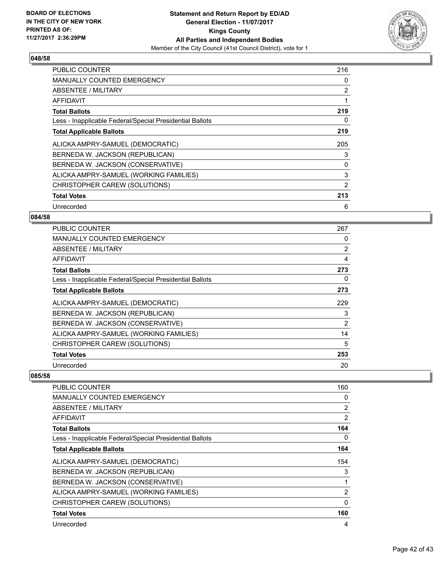

| <b>PUBLIC COUNTER</b>                                    | 216 |
|----------------------------------------------------------|-----|
| <b>MANUALLY COUNTED EMERGENCY</b>                        | 0   |
| ABSENTEE / MILITARY                                      | 2   |
| AFFIDAVIT                                                | 1   |
| <b>Total Ballots</b>                                     | 219 |
| Less - Inapplicable Federal/Special Presidential Ballots | 0   |
| <b>Total Applicable Ballots</b>                          | 219 |
| ALICKA AMPRY-SAMUEL (DEMOCRATIC)                         | 205 |
| BERNEDA W. JACKSON (REPUBLICAN)                          | 3   |
| BERNEDA W. JACKSON (CONSERVATIVE)                        | 0   |
| ALICKA AMPRY-SAMUEL (WORKING FAMILIES)                   | 3   |
| CHRISTOPHER CAREW (SOLUTIONS)                            | 2   |
| <b>Total Votes</b>                                       | 213 |
| Unrecorded                                               | 6   |

## **084/58**

| <b>PUBLIC COUNTER</b>                                    | 267            |
|----------------------------------------------------------|----------------|
| <b>MANUALLY COUNTED EMERGENCY</b>                        | 0              |
| <b>ABSENTEE / MILITARY</b>                               | $\overline{2}$ |
| AFFIDAVIT                                                | 4              |
| <b>Total Ballots</b>                                     | 273            |
| Less - Inapplicable Federal/Special Presidential Ballots | 0              |
| <b>Total Applicable Ballots</b>                          | 273            |
| ALICKA AMPRY-SAMUEL (DEMOCRATIC)                         | 229            |
| BERNEDA W. JACKSON (REPUBLICAN)                          | 3              |
| BERNEDA W. JACKSON (CONSERVATIVE)                        | 2              |
| ALICKA AMPRY-SAMUEL (WORKING FAMILIES)                   | 14             |
| CHRISTOPHER CAREW (SOLUTIONS)                            | 5              |
| <b>Total Votes</b>                                       | 253            |
| Unrecorded                                               | 20             |

| PUBLIC COUNTER                                           | 160      |
|----------------------------------------------------------|----------|
| <b>MANUALLY COUNTED EMERGENCY</b>                        | 0        |
| ABSENTEE / MILITARY                                      | 2        |
| AFFIDAVIT                                                | 2        |
| <b>Total Ballots</b>                                     | 164      |
| Less - Inapplicable Federal/Special Presidential Ballots | 0        |
| <b>Total Applicable Ballots</b>                          | 164      |
| ALICKA AMPRY-SAMUEL (DEMOCRATIC)                         | 154      |
| BERNEDA W. JACKSON (REPUBLICAN)                          | 3        |
| BERNEDA W. JACKSON (CONSERVATIVE)                        | 1        |
| ALICKA AMPRY-SAMUEL (WORKING FAMILIES)                   | 2        |
| CHRISTOPHER CAREW (SOLUTIONS)                            | $\Omega$ |
| <b>Total Votes</b>                                       | 160      |
| Unrecorded                                               | 4        |